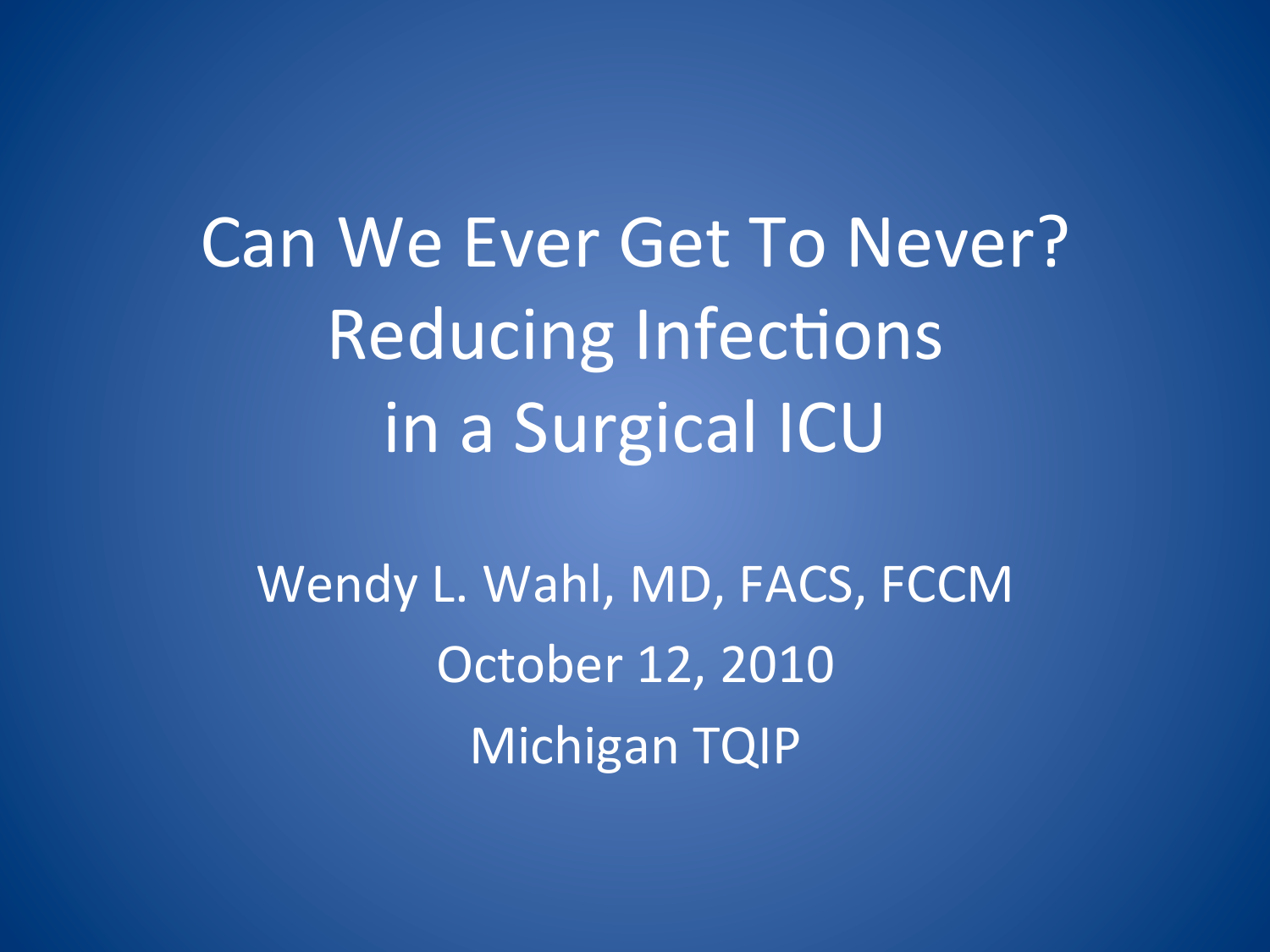Can We Ever Get To Never? Reducing Infections in a Surgical ICU

Wendy L. Wahl, MD, FACS, FCCM October 12, 2010 Michigan TQIP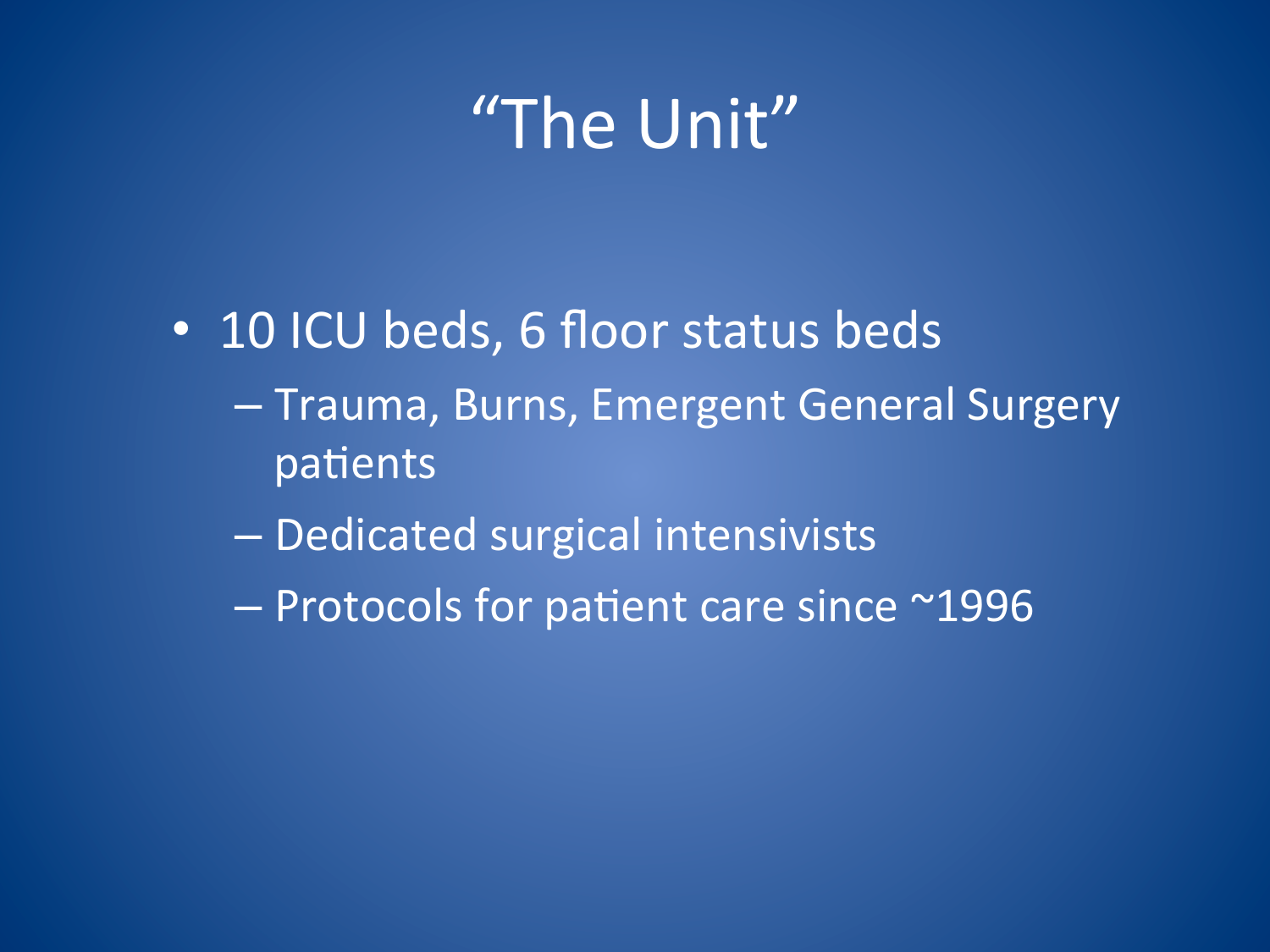# "The Unit"

- 10 ICU beds, 6 floor status beds
	- Trauma, Burns, Emergent General Surgery patients
	- Dedicated surgical intensivists
	- Protocols for patient care since ~1996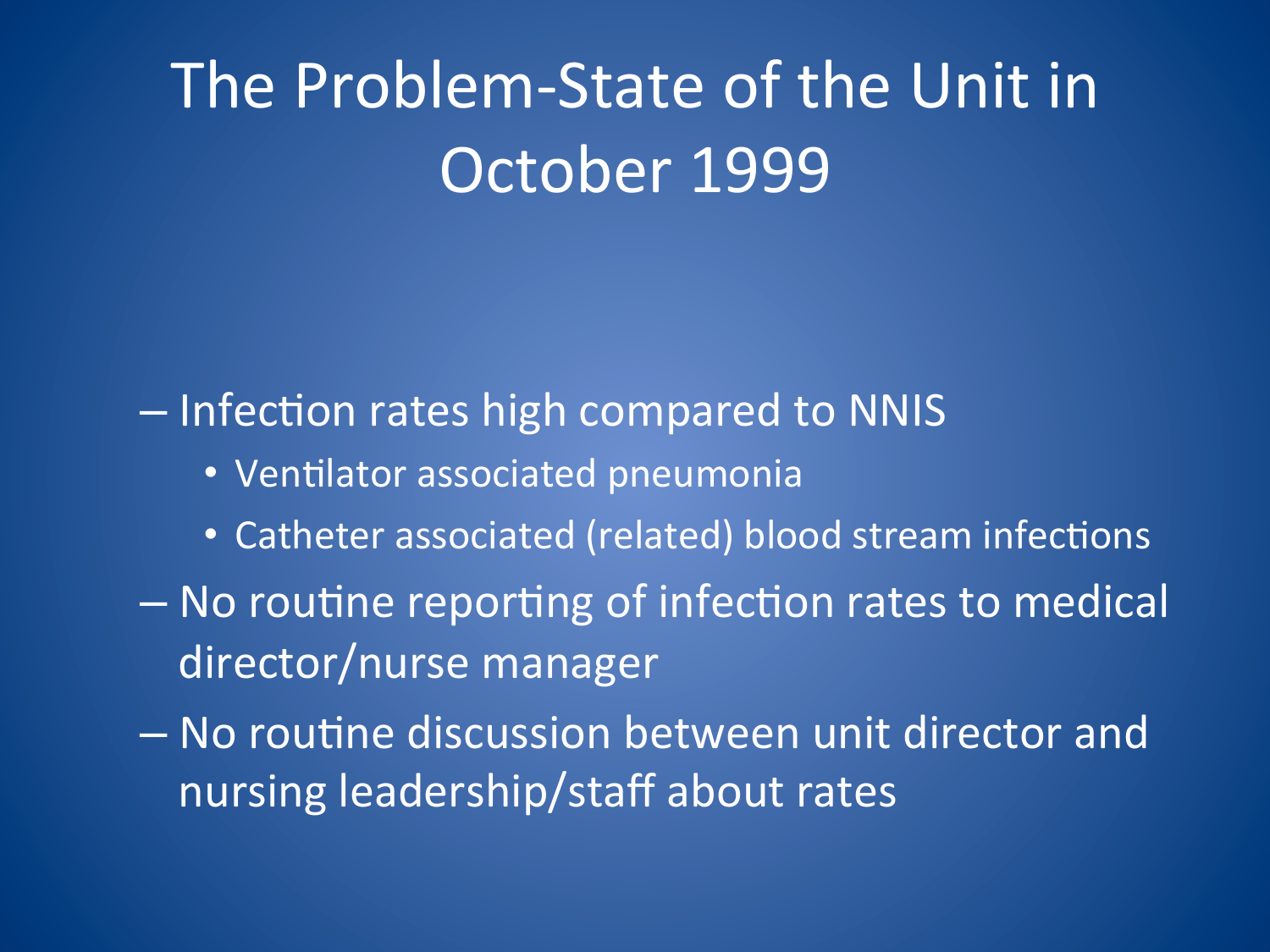# The Problem-State of the Unit in October 1999

- Infection rates high compared to NNIS

- Ventilator associated pneumonia
- Catheter associated (related) blood stream infections
- No routine reporting of infection rates to medical director/nurse manager
- No routine discussion between unit director and nursing leadership/staff about rates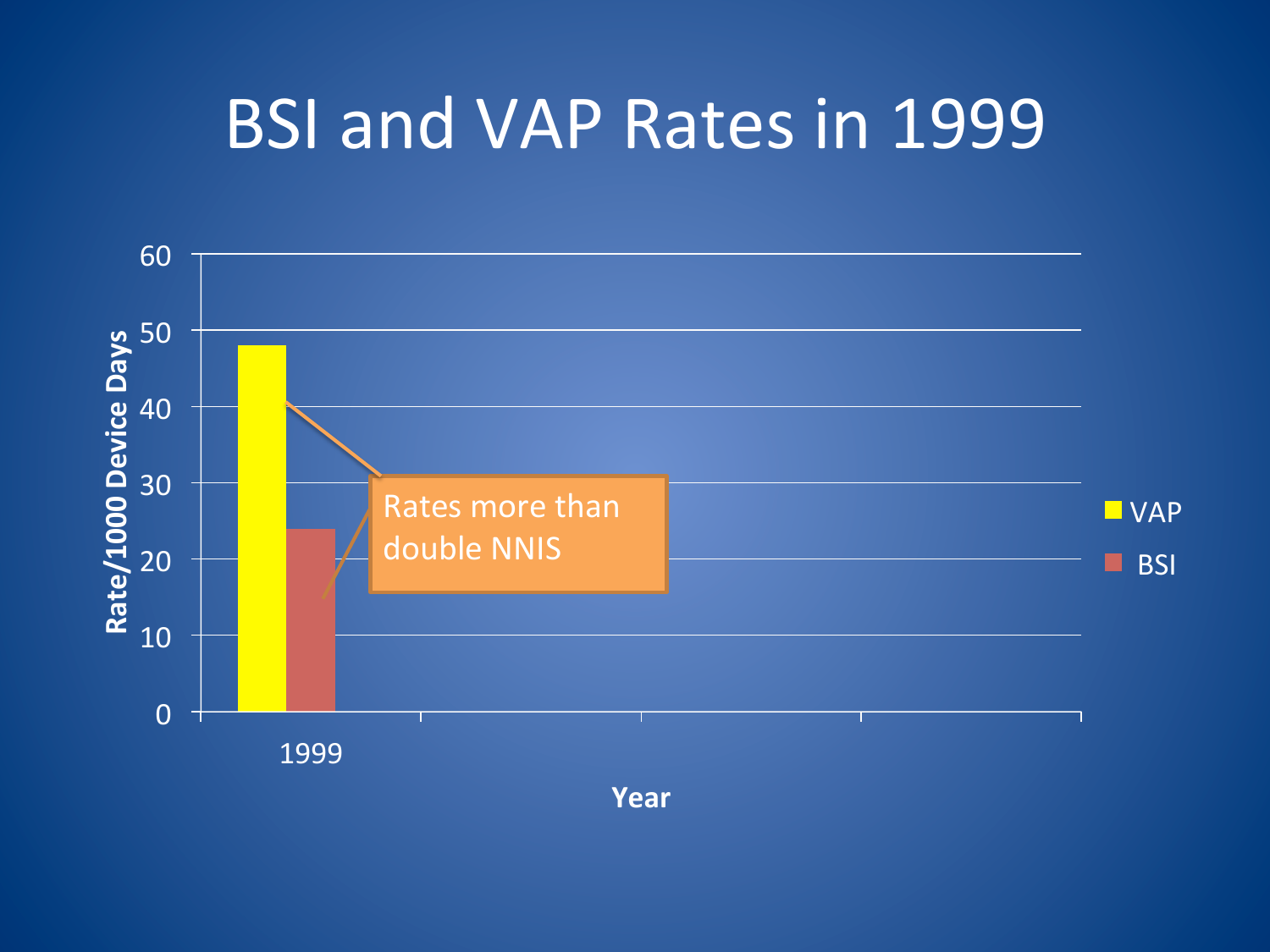## BSI and VAP Rates in 1999



**Year(**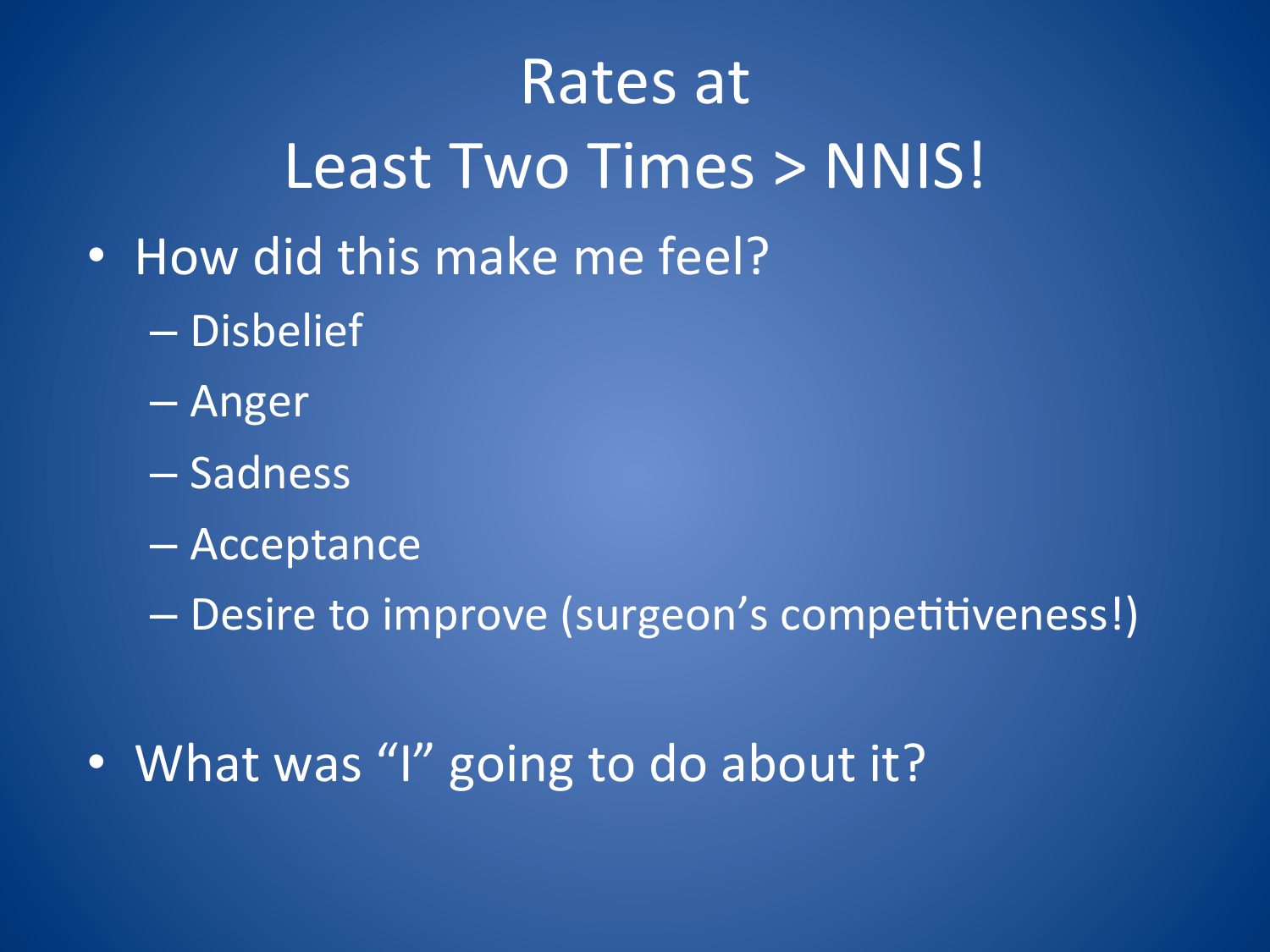# Rates at Least Two Times > NNIS!

- How did this make me feel?
	- Disbelief
	- Anger
	- Sadness
	- Acceptance
	- Desire to improve (surgeon's competitiveness!)
- What was "I" going to do about it?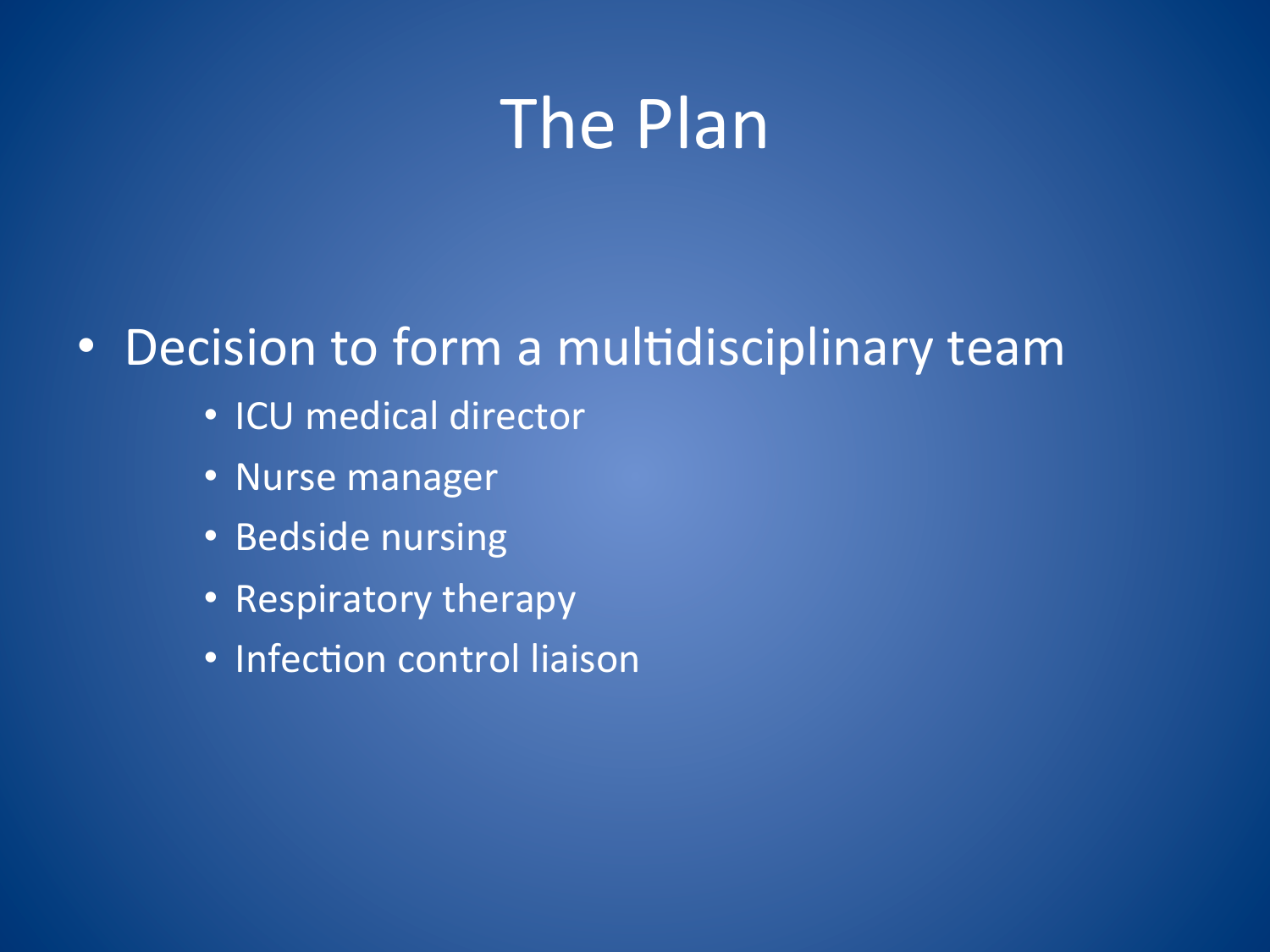# The Plan

#### • Decision to form a multidisciplinary team

- ICU medical director
- Nurse manager
- Bedside nursing
- Respiratory therapy
- Infection control liaison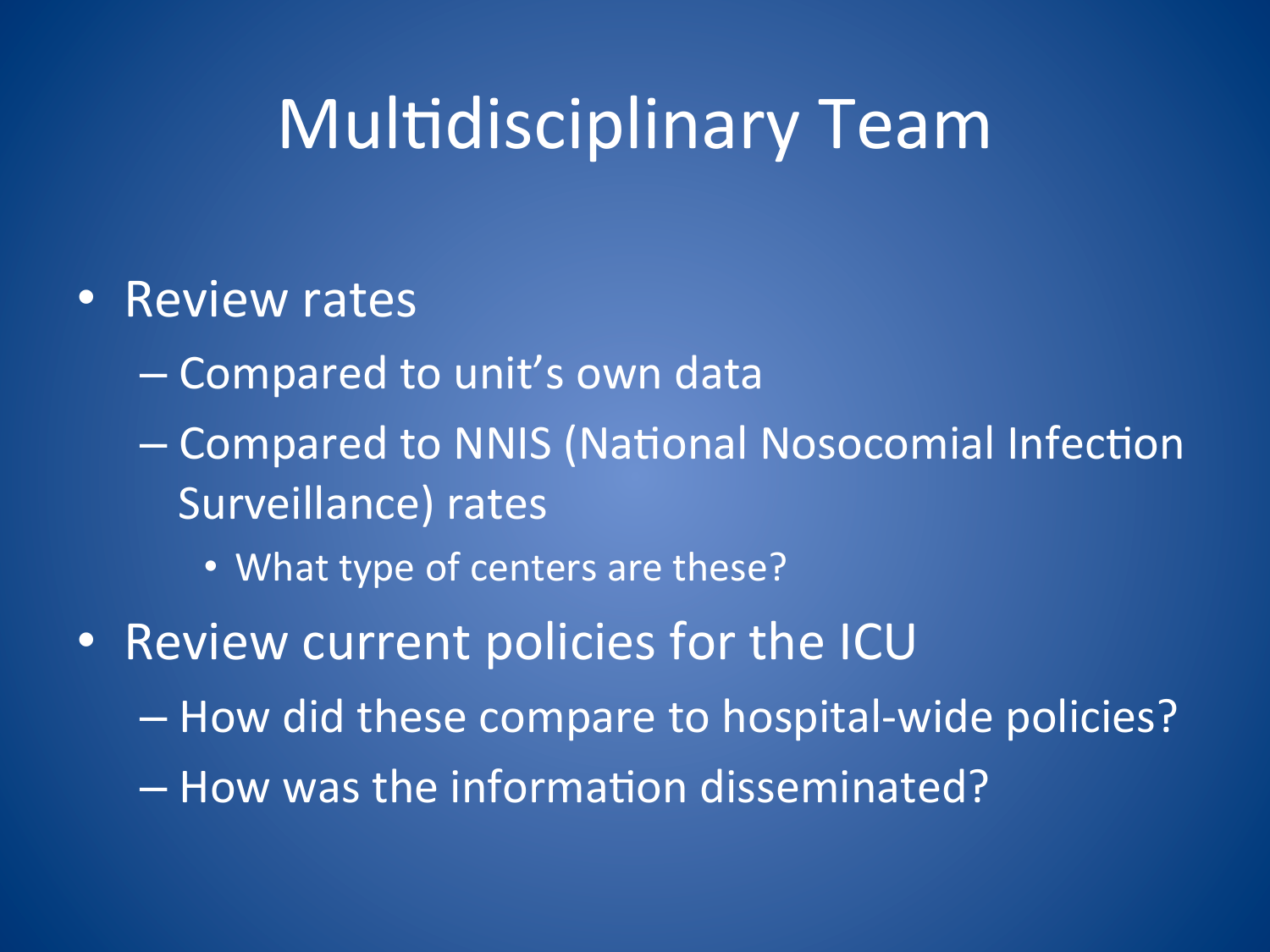# Multidisciplinary Team

#### • Review rates

- Compared to unit's own data
- Compared to NNIS (National Nosocomial Infection Surveillance) rates
	- What type of centers are these?
- Review current policies for the ICU
	- How did these compare to hospital-wide policies?
	- $-$  How was the information disseminated?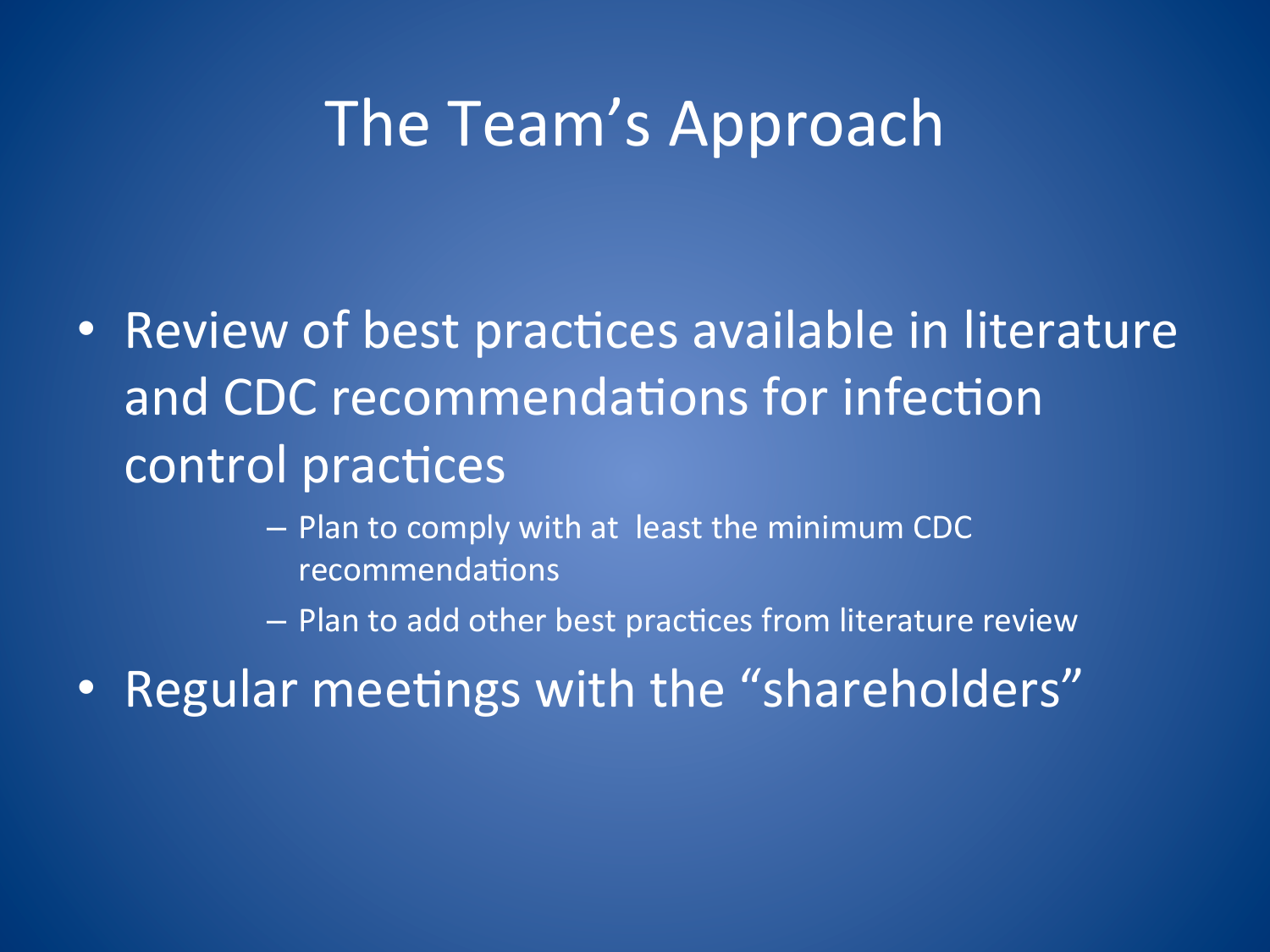#### The Team's Approach

• Review of best practices available in literature and CDC recommendations for infection control practices

> $-$  Plan to comply with at least the minimum CDC recommendations

 $-$  Plan to add other best practices from literature review

• Regular meetings with the "shareholders"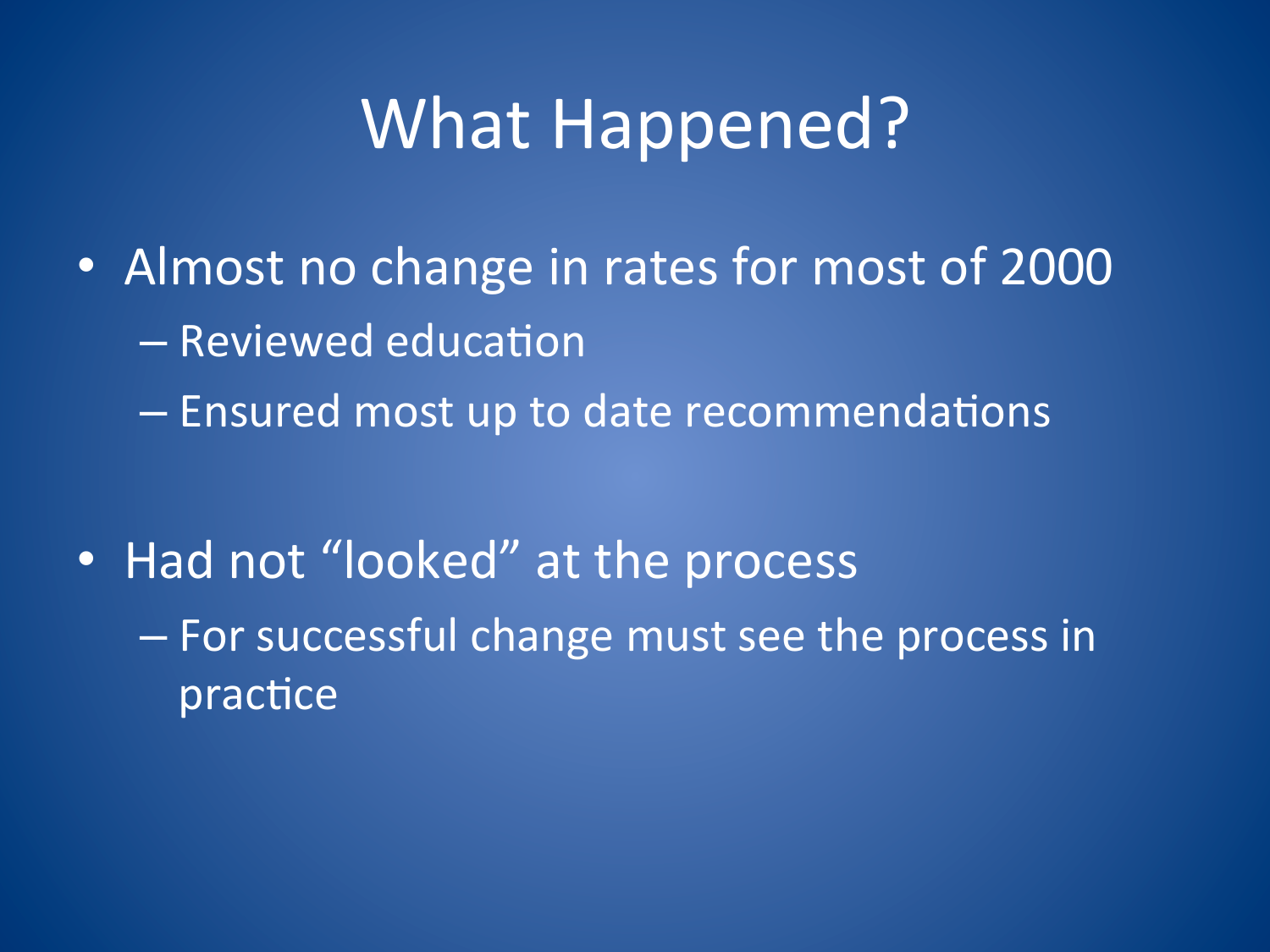# **What Happened?**

• Almost no change in rates for most of 2000 - Reviewed education - Ensured most up to date recommendations

• Had not "looked" at the process - For successful change must see the process in practice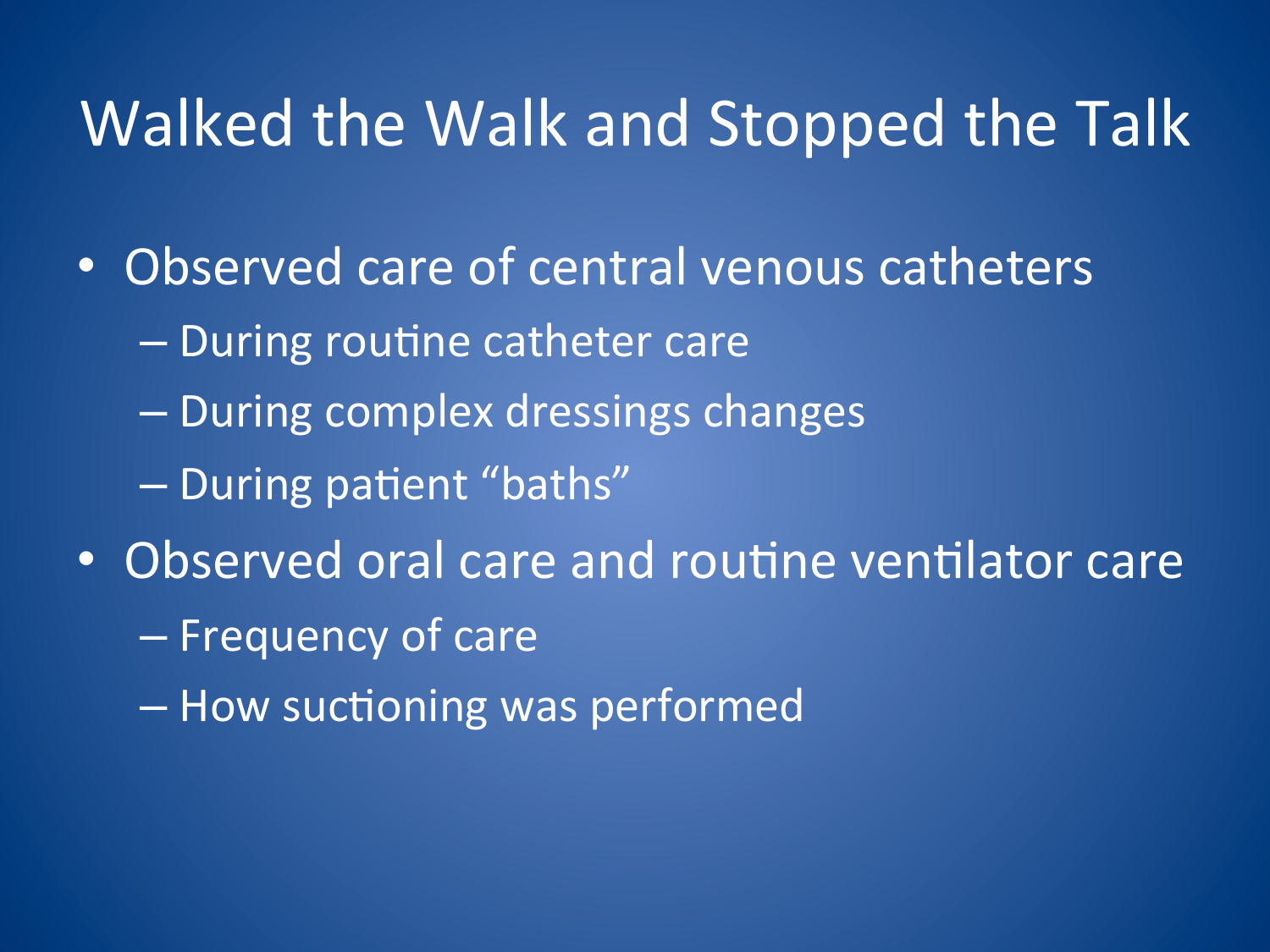#### Walked the Walk and Stopped the Talk

- Observed care of central venous catheters
	- $-$  During routine catheter care
	- During complex dressings changes
	- During patient "baths"
- Observed oral care and routine ventilator care
	- Frequency of care
	- How suctioning was performed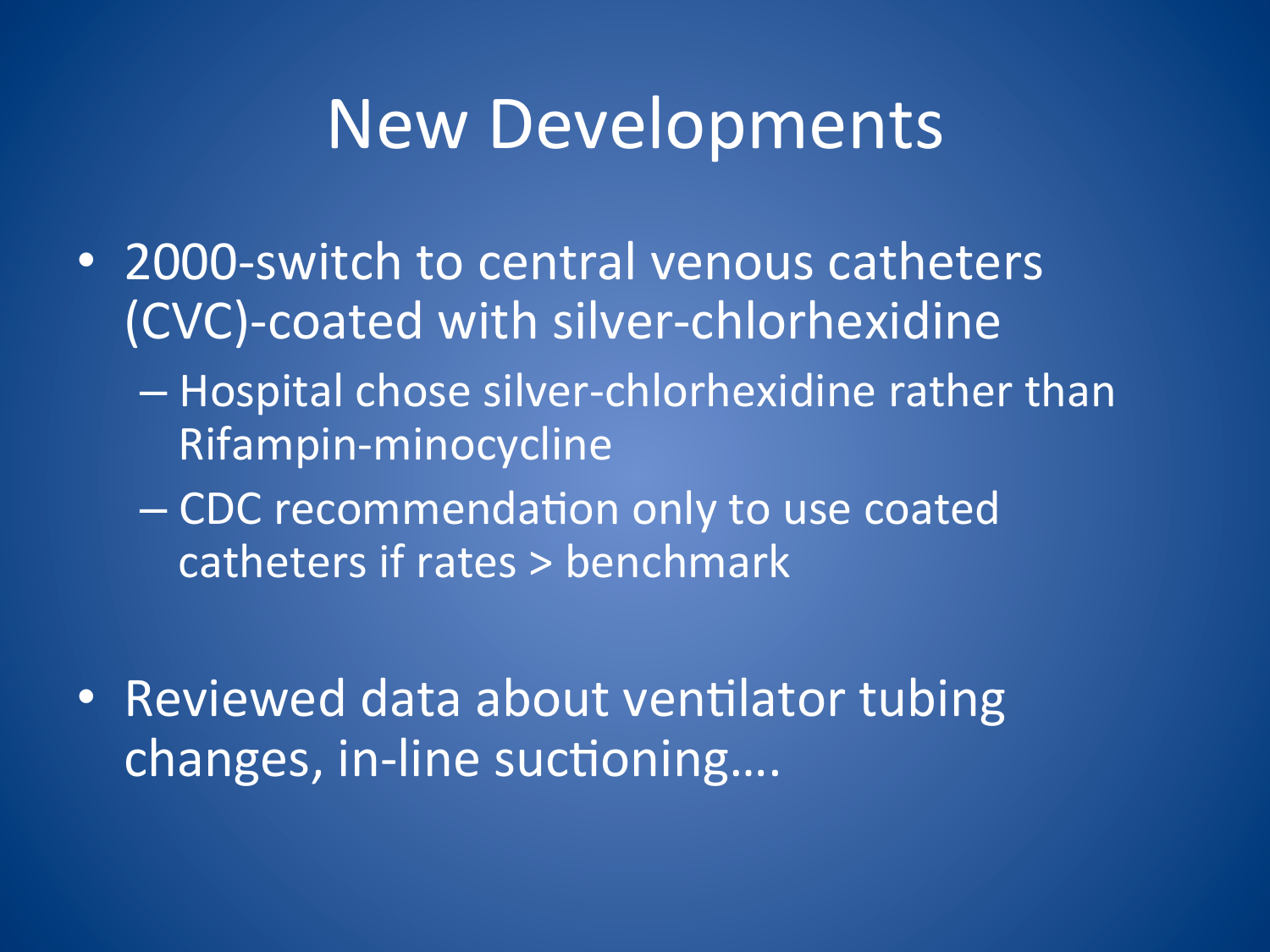#### **New Developments**

- 2000-switch to central venous catheters (CVC)-coated with silver-chlorhexidine
	- Hospital chose silver-chlorhexidine rather than Rifampin-minocycline
	- CDC recommendation only to use coated catheters if rates > benchmark
- Reviewed data about ventilator tubing changes, in-line suctioning....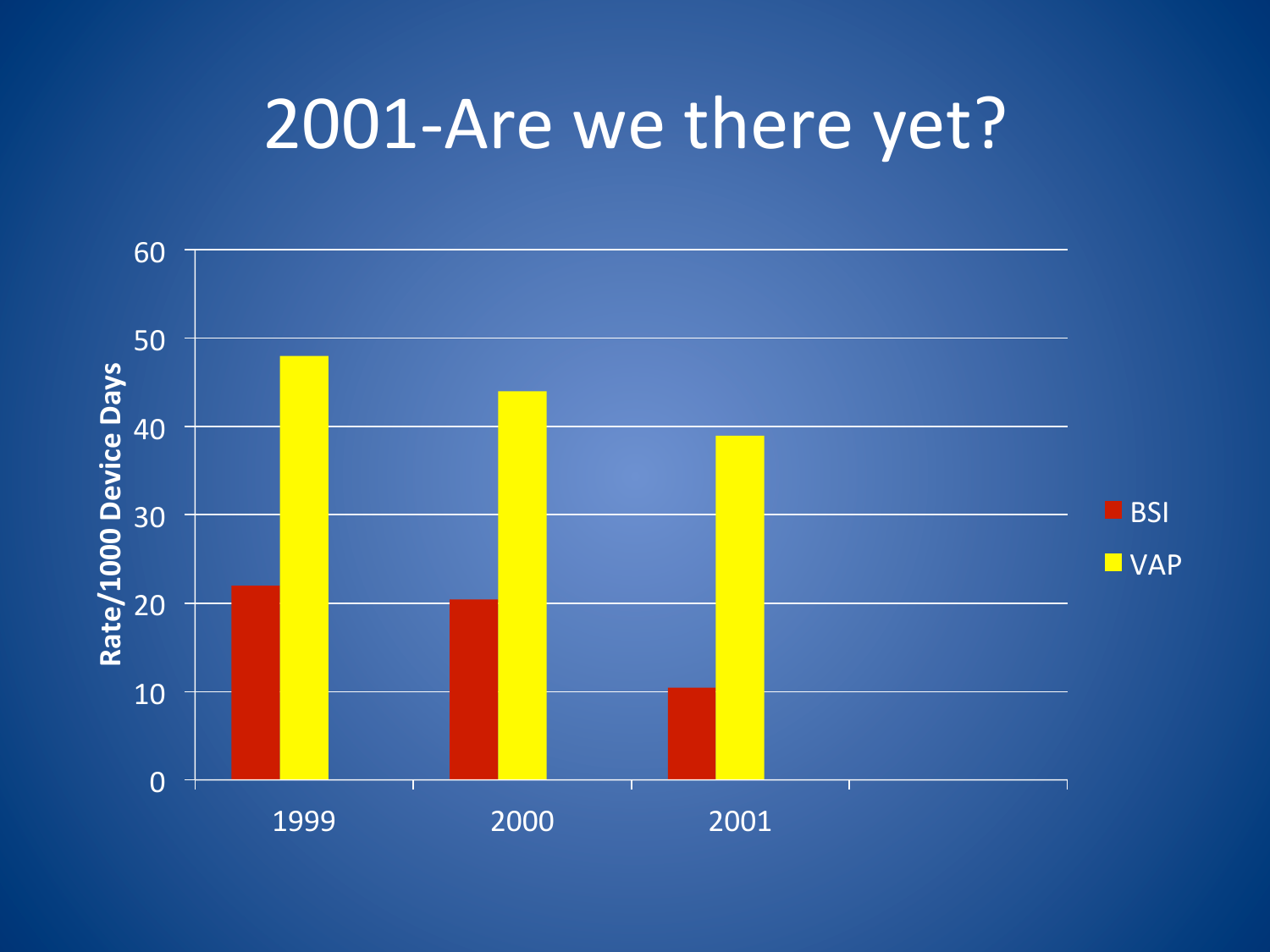## 2001-Are we there yet?

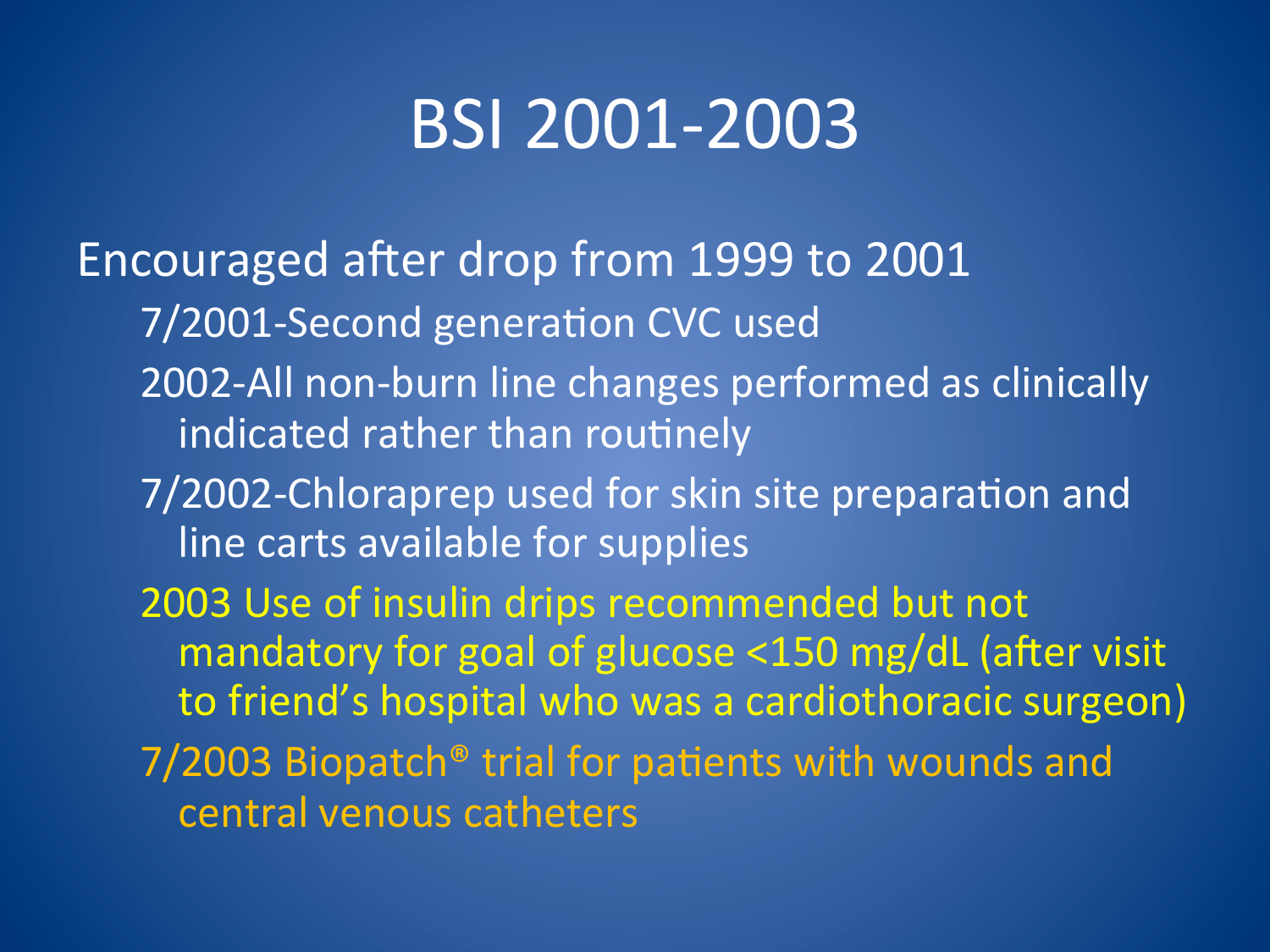## BSI 2001-2003

Encouraged after drop from 1999 to 2001 7/2001-Second generation CVC used 2002-All non-burn line changes performed as clinically indicated rather than routinely 7/2002-Chloraprep used for skin site preparation and line carts available for supplies 2003 Use of insulin drips recommended but not mandatory for goal of glucose <150 mg/dL (after visit to friend's hospital who was a cardiothoracic surgeon)  $7/2003$  Biopatch® trial for patients with wounds and central venous catheters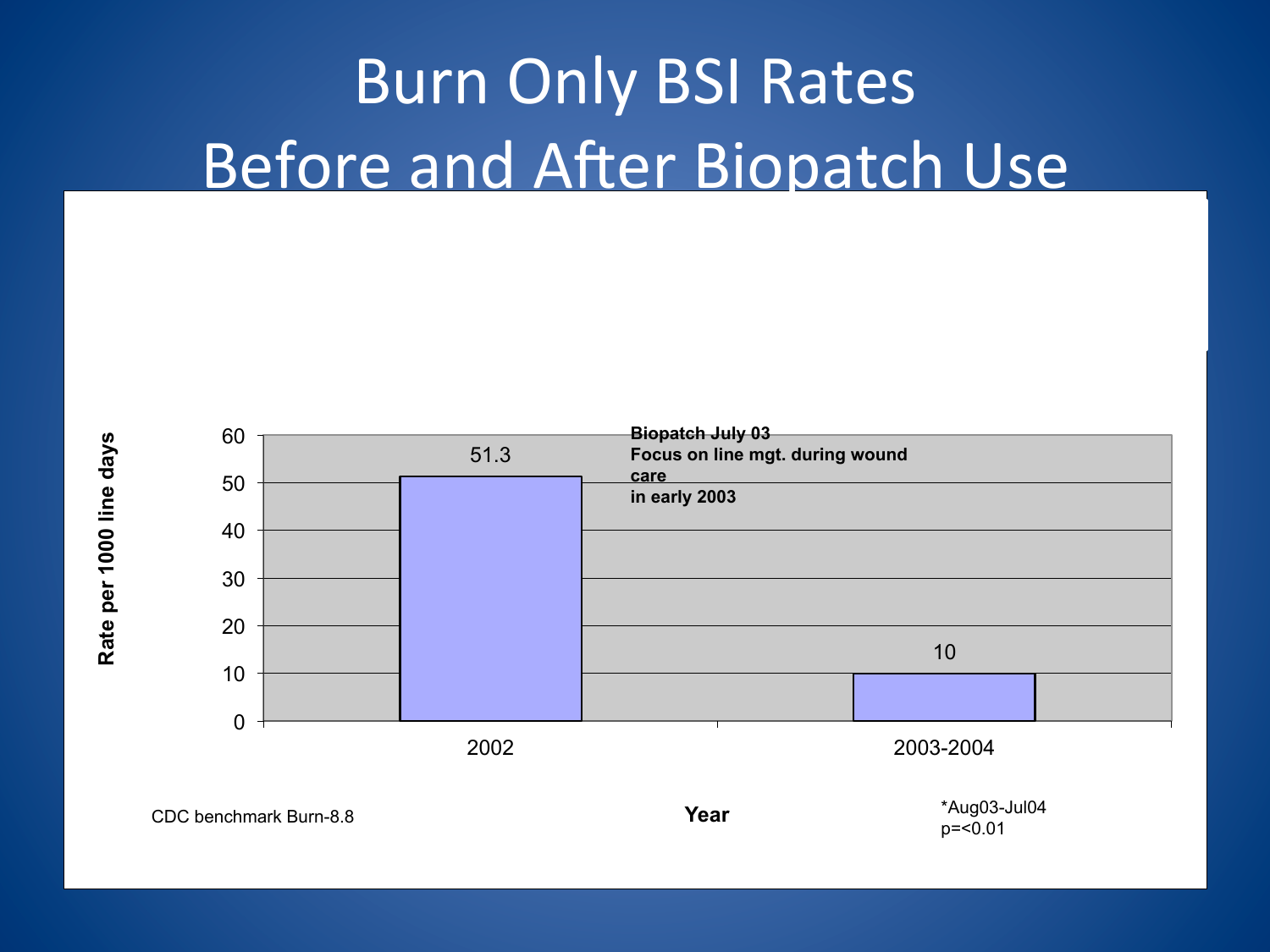# **Burn Only BSI Rates** Before and After Biopatch Use

![](_page_13_Figure_1.jpeg)

![](_page_13_Figure_2.jpeg)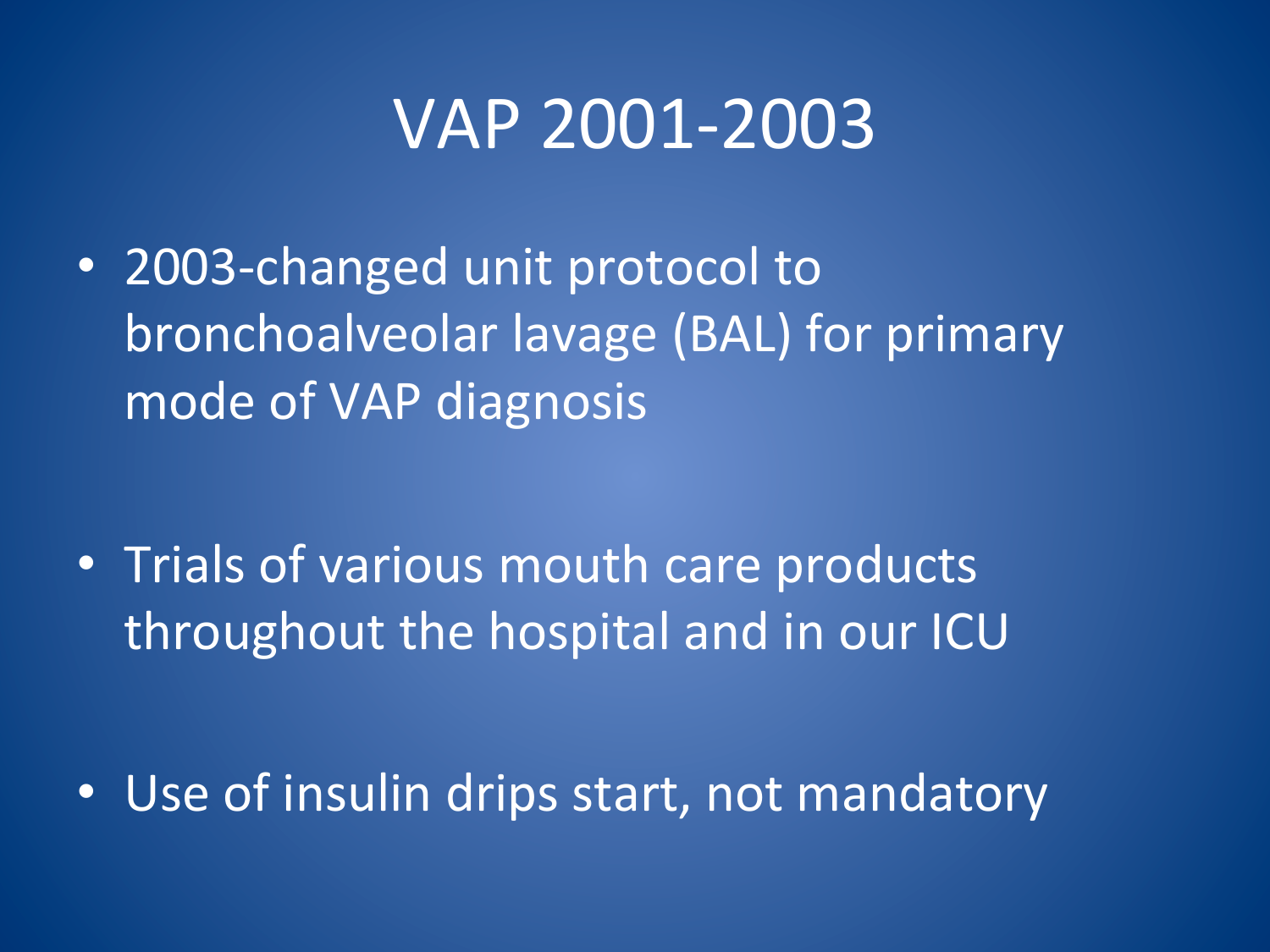### VAP 2001-2003

• 2003-changed unit protocol to bronchoalveolar lavage (BAL) for primary mode of VAP diagnosis

• Trials of various mouth care products throughout the hospital and in our ICU

• Use of insulin drips start, not mandatory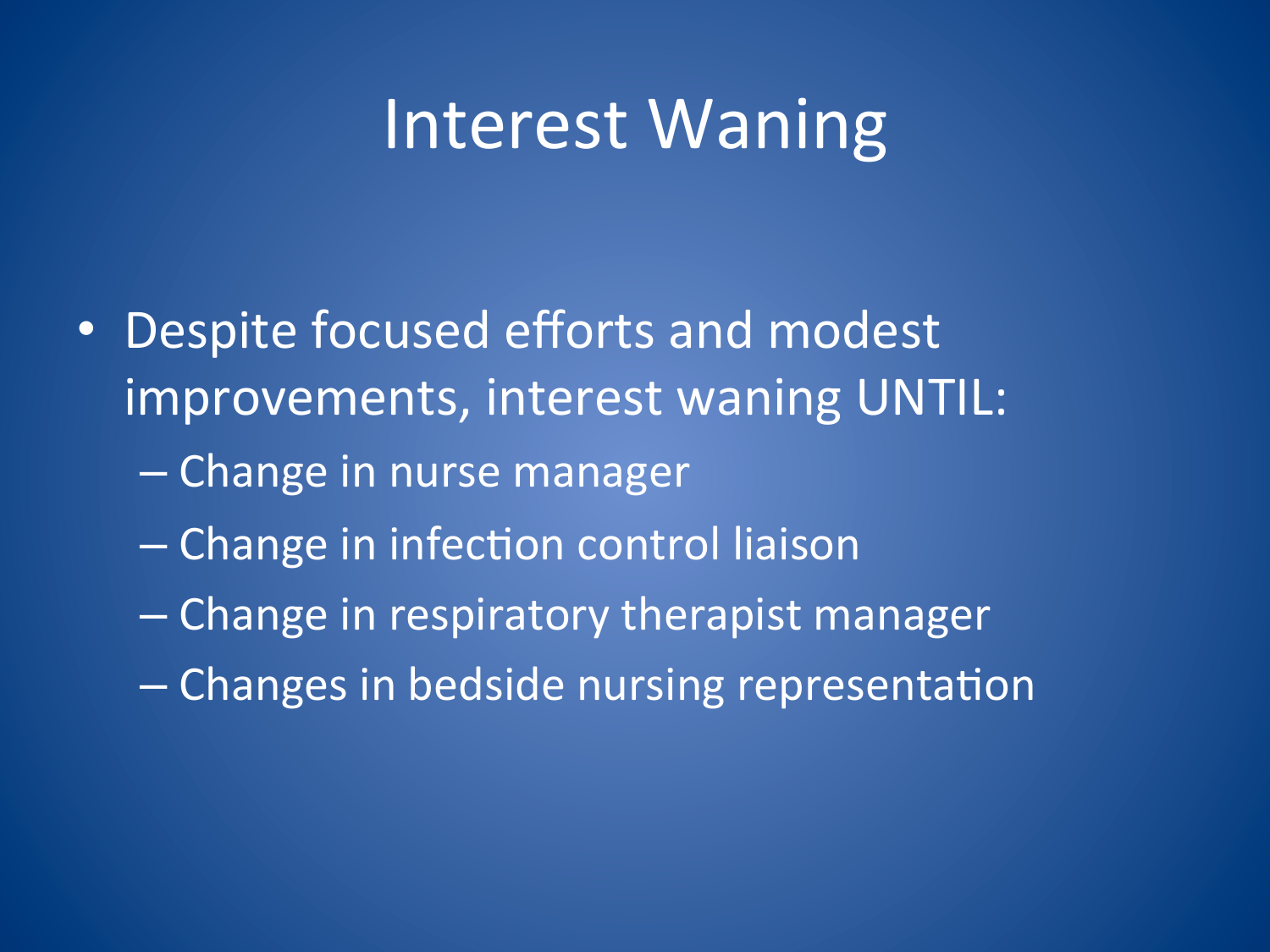### Interest Waning

- Despite focused efforts and modest improvements, interest waning UNTIL:
	- Change in nurse manager
	- Change in infection control liaison
	- Change in respiratory therapist manager
	- Changes in bedside nursing representation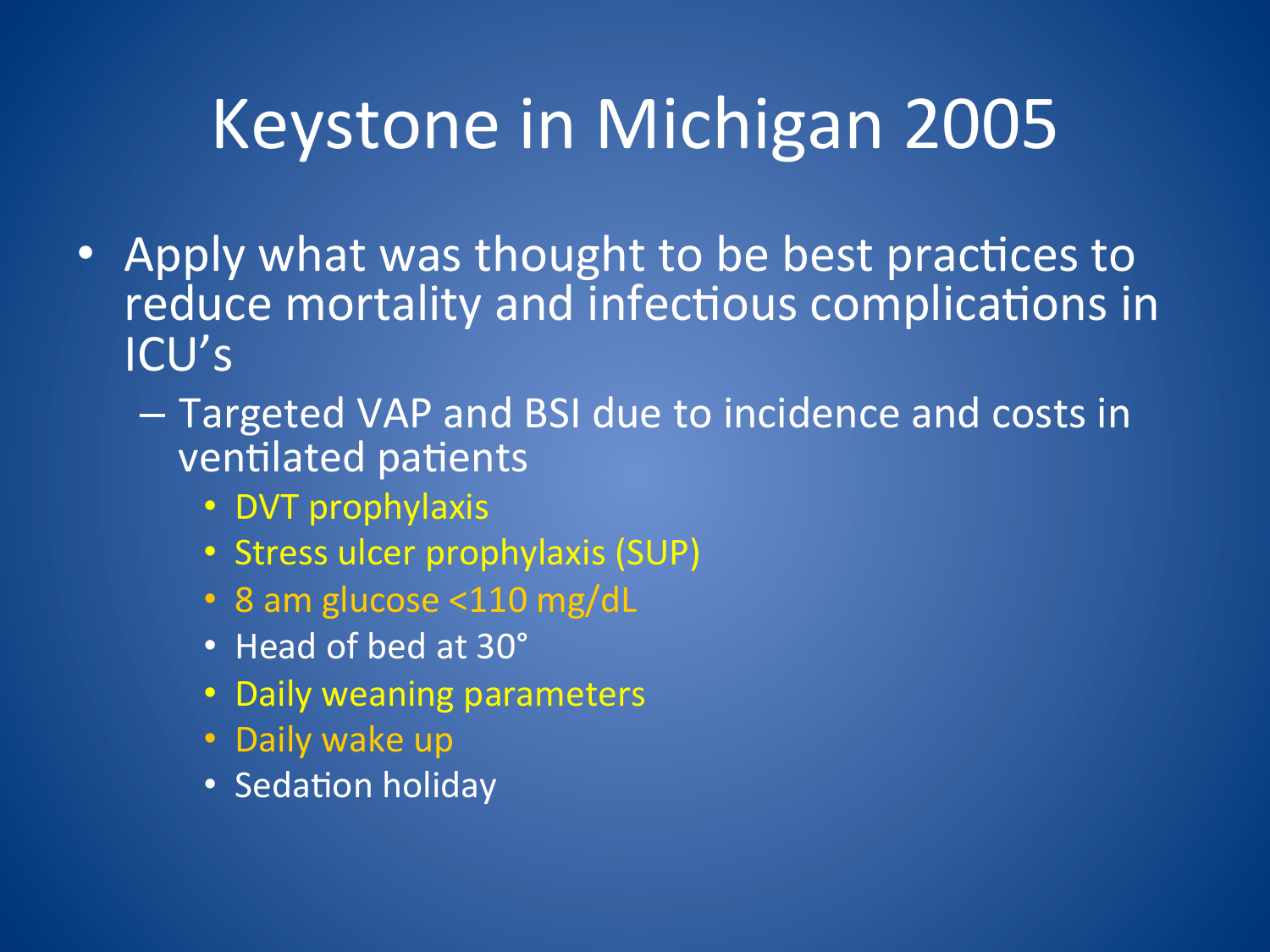# Keystone in Michigan 2005

- Apply what was thought to be best practices to reduce mortality and infectious complications in ICU's
	- Targeted VAP and BSI due to incidence and costs in ventilated patients
		- DVT prophylaxis
		- · Stress ulcer prophylaxis (SUP)
		- 8 am glucose <110 mg/dL
		- Head of bed at 30°
		- Daily weaning parameters
		- Daily wake up
		- Sedation holiday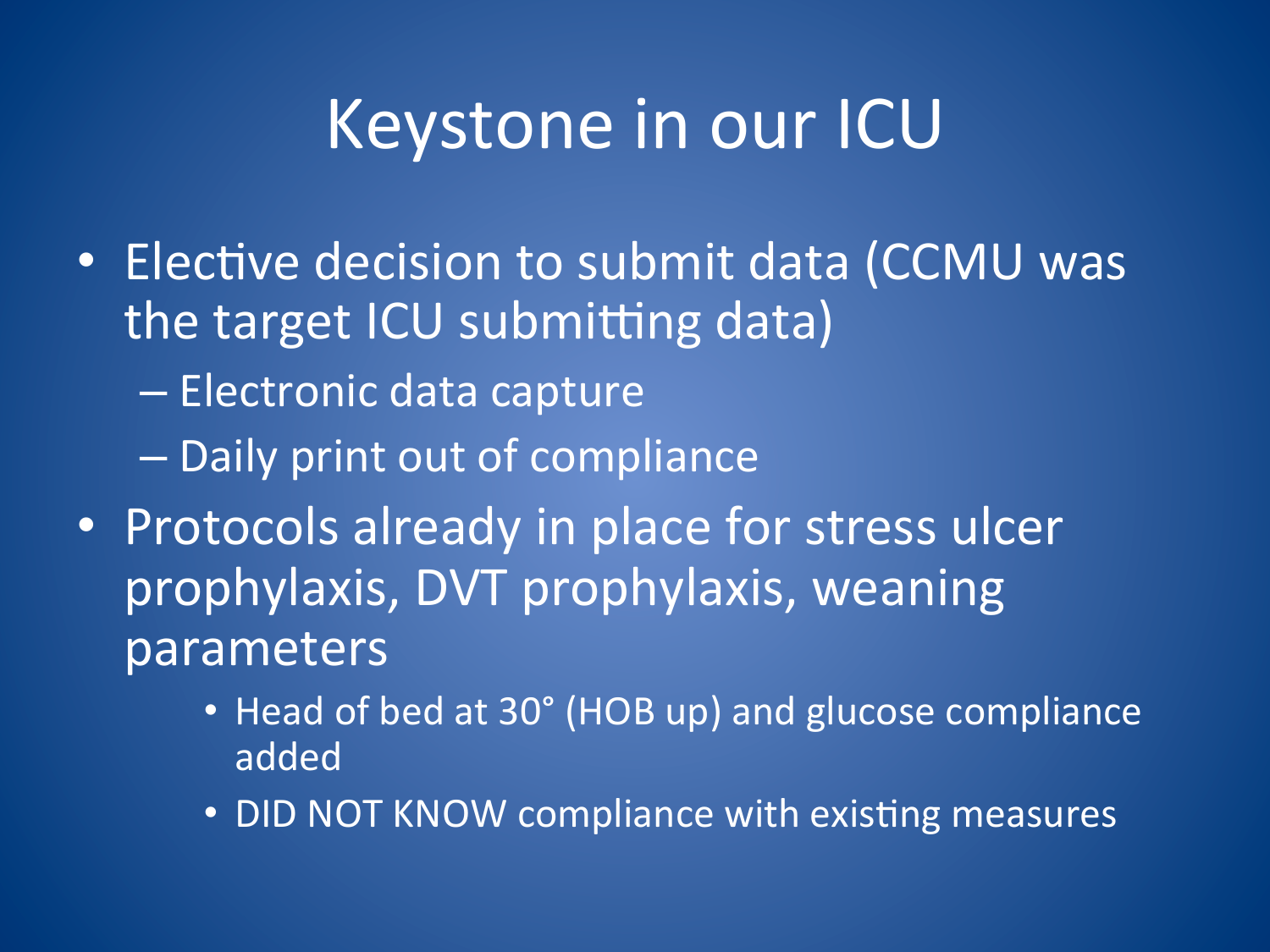# Keystone in our ICU

- Elective decision to submit data (CCMU was the target ICU submitting data)
	- Electronic data capture
	- Daily print out of compliance
- · Protocols already in place for stress ulcer prophylaxis, DVT prophylaxis, weaning parameters
	- Head of bed at 30° (HOB up) and glucose compliance added
	- DID NOT KNOW compliance with existing measures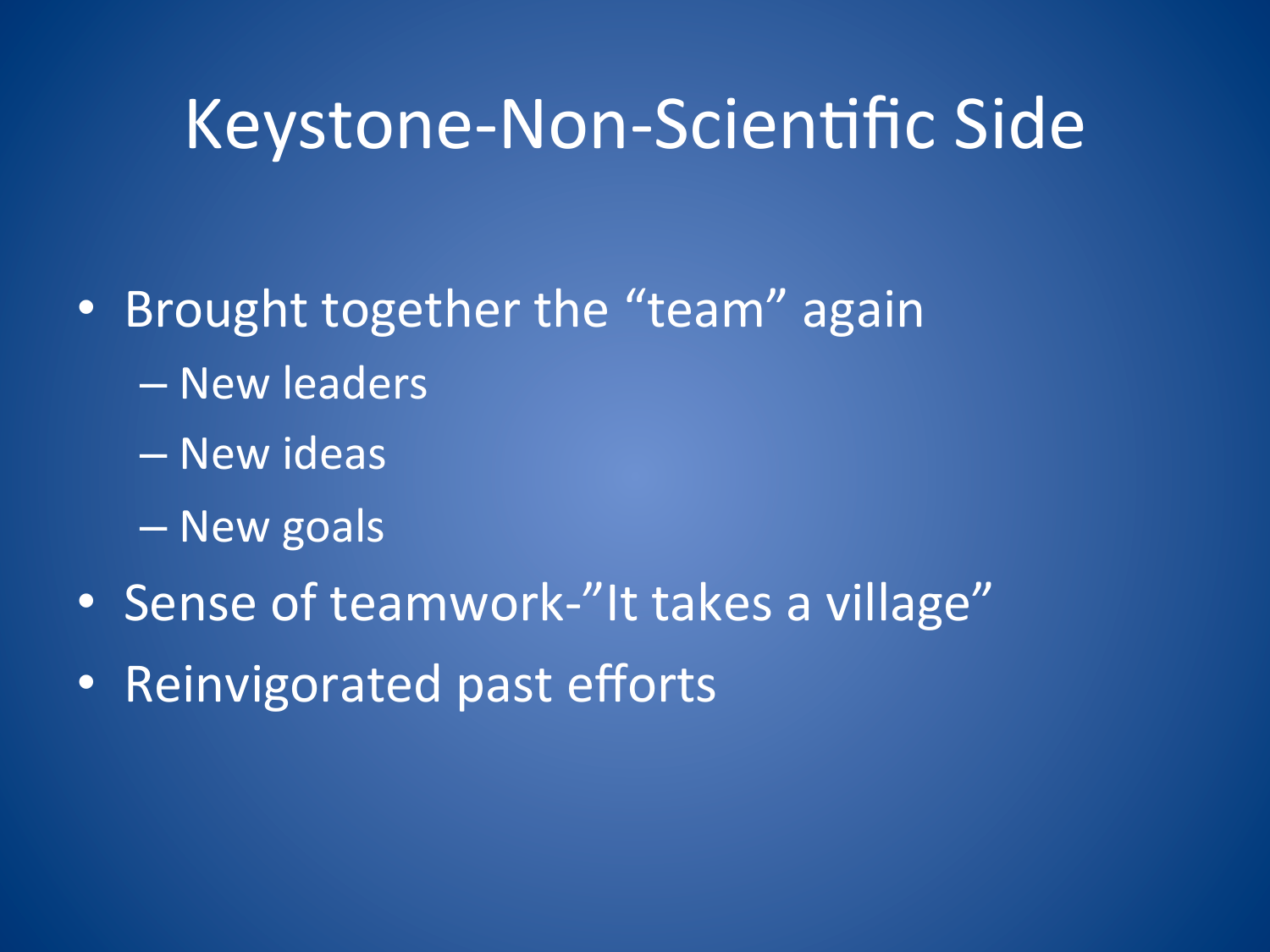## Keystone-Non-Scientific Side

- Brought together the "team" again
	- New leaders
	- New ideas
	- New goals
- Sense of teamwork-"It takes a village"
- Reinvigorated past efforts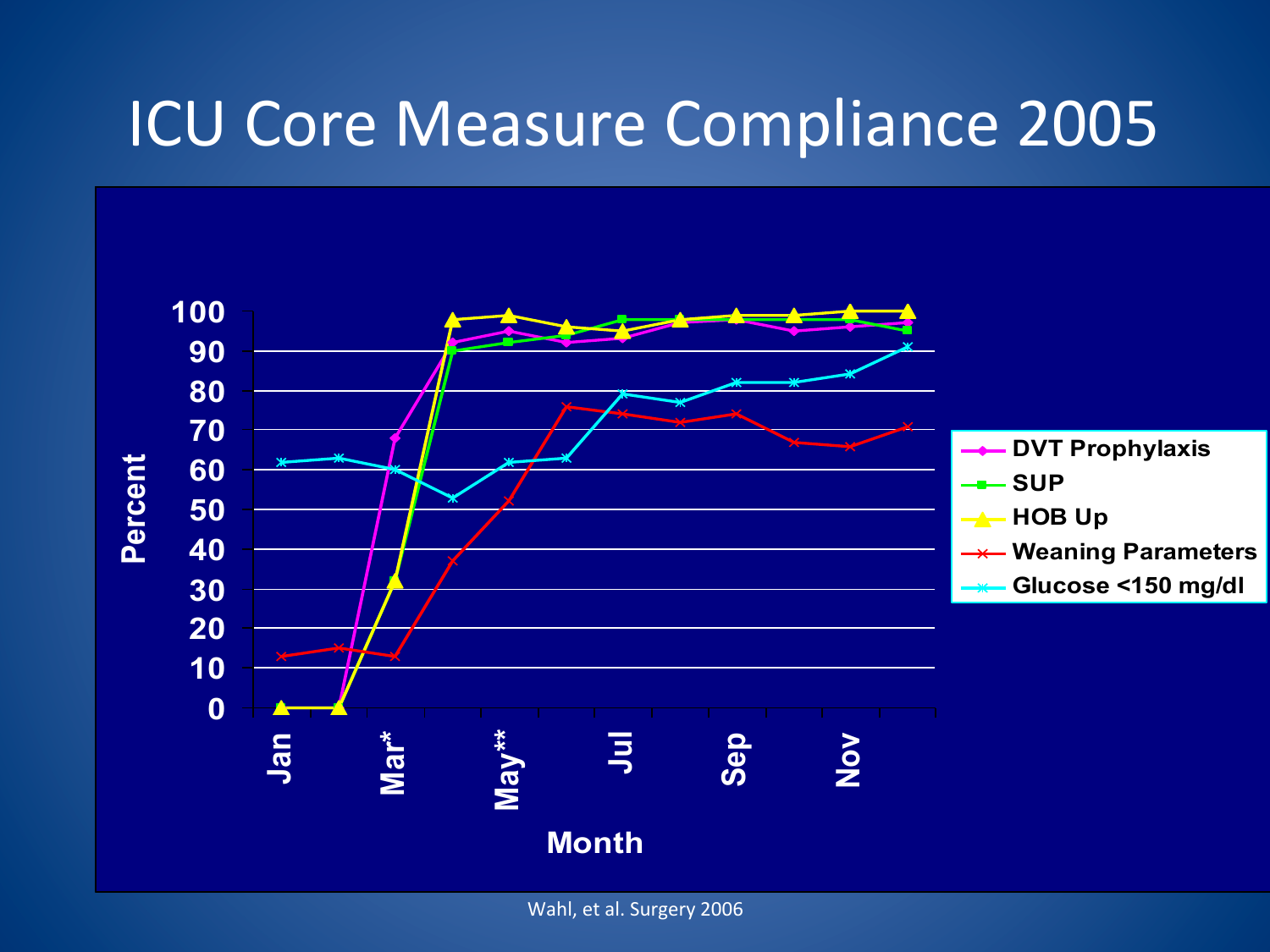#### **ICU Core Measure Compliance 2005**

![](_page_19_Figure_1.jpeg)

Wahl, et al. Surgery 2006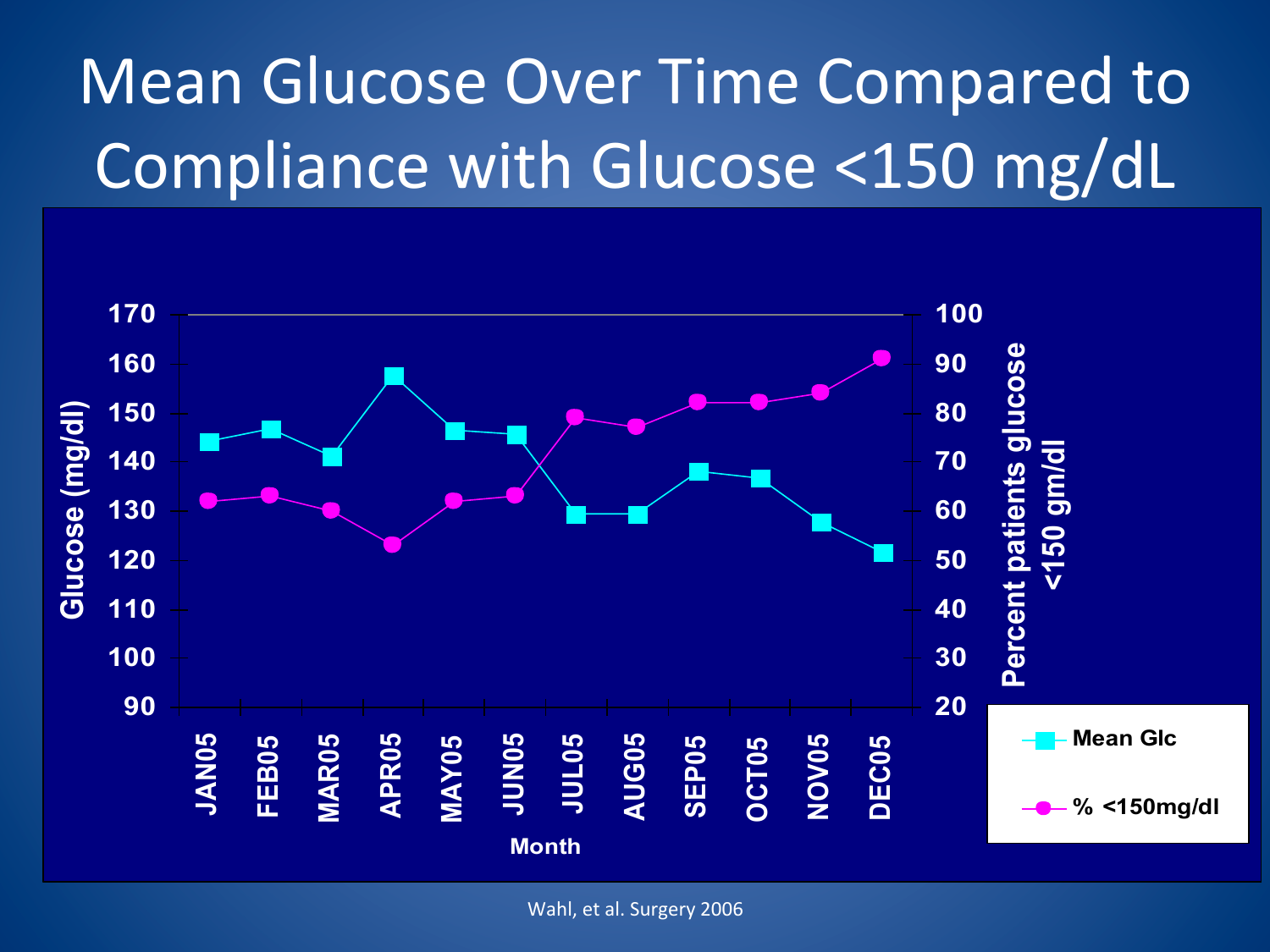# Mean Glucose Over Time Compared to Compliance with Glucose  $\langle$ 150 mg/dL

![](_page_20_Figure_1.jpeg)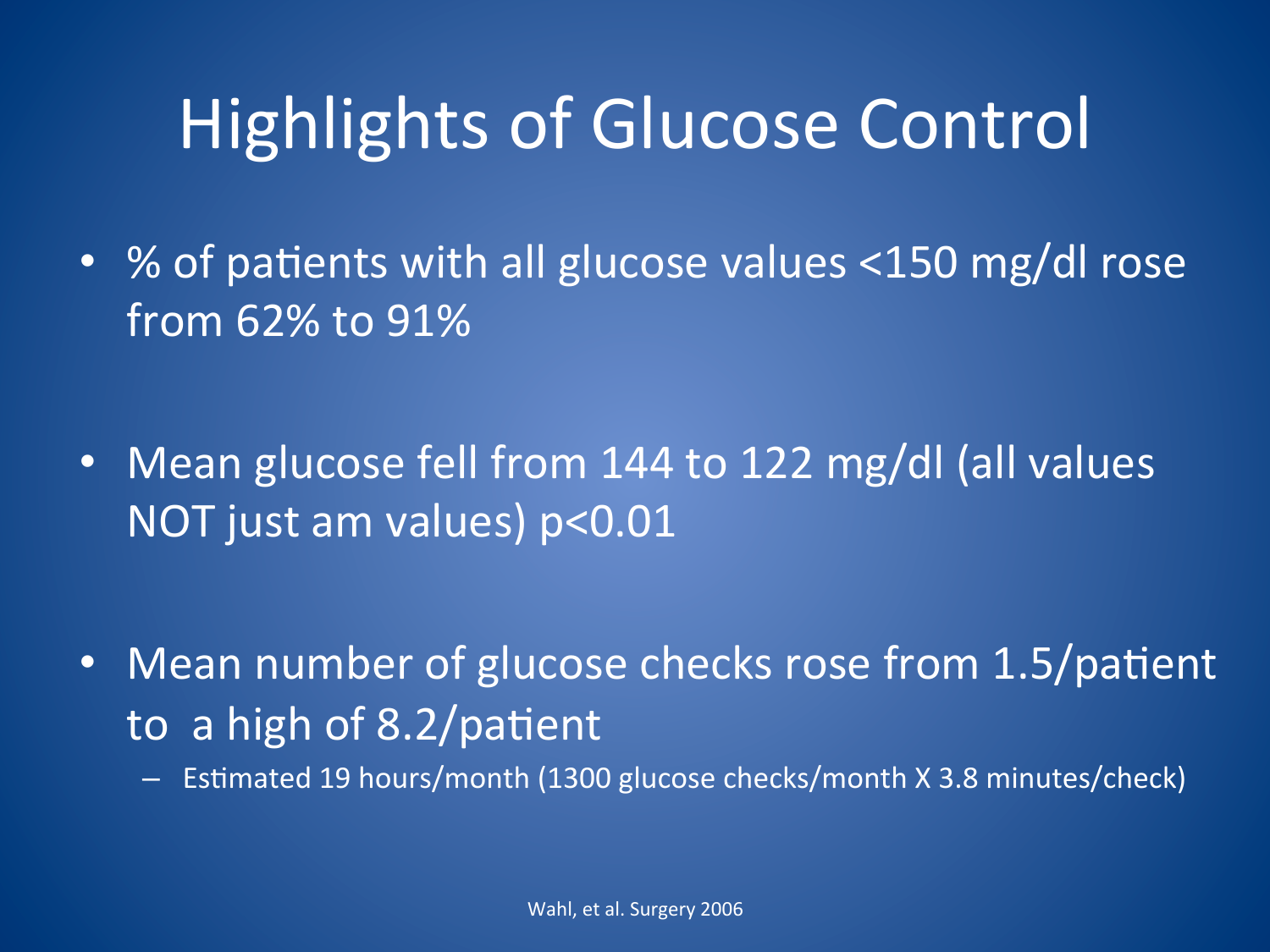# **Highlights of Glucose Control**

- % of patients with all glucose values <150 mg/dl rose from 62% to 91%
- Mean glucose fell from 144 to 122 mg/dl (all values NOT just am values) p<0.01
- Mean number of glucose checks rose from 1.5/patient to a high of 8.2/patient
	- Estimated 19 hours/month (1300 glucose checks/month X 3.8 minutes/check)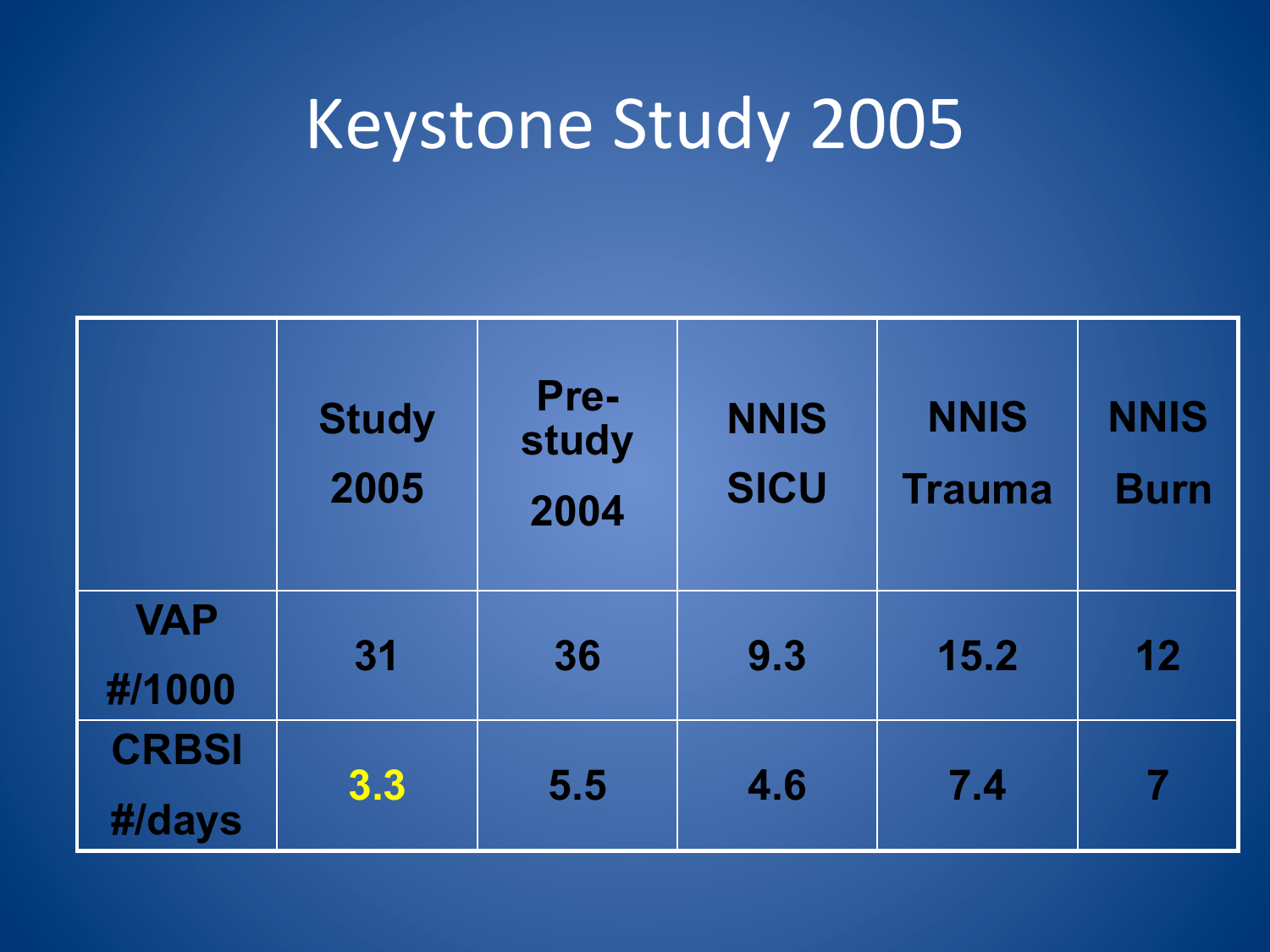# Keystone Study 2005

|                        | <b>Study</b><br>2005 | Pre-<br>study<br>2004 | <b>NNIS</b><br><b>SICU</b> | <b>NNIS</b><br><b>Trauma</b> | <b>NNIS</b><br><b>Burn</b> |
|------------------------|----------------------|-----------------------|----------------------------|------------------------------|----------------------------|
| <b>VAP</b><br>#/1000   | 31                   | 36                    | 9.3                        | 15.2                         | 12                         |
| <b>CRBSI</b><br>#/days | 3.3                  | 5.5                   | 4.6                        | 7.4                          | 7                          |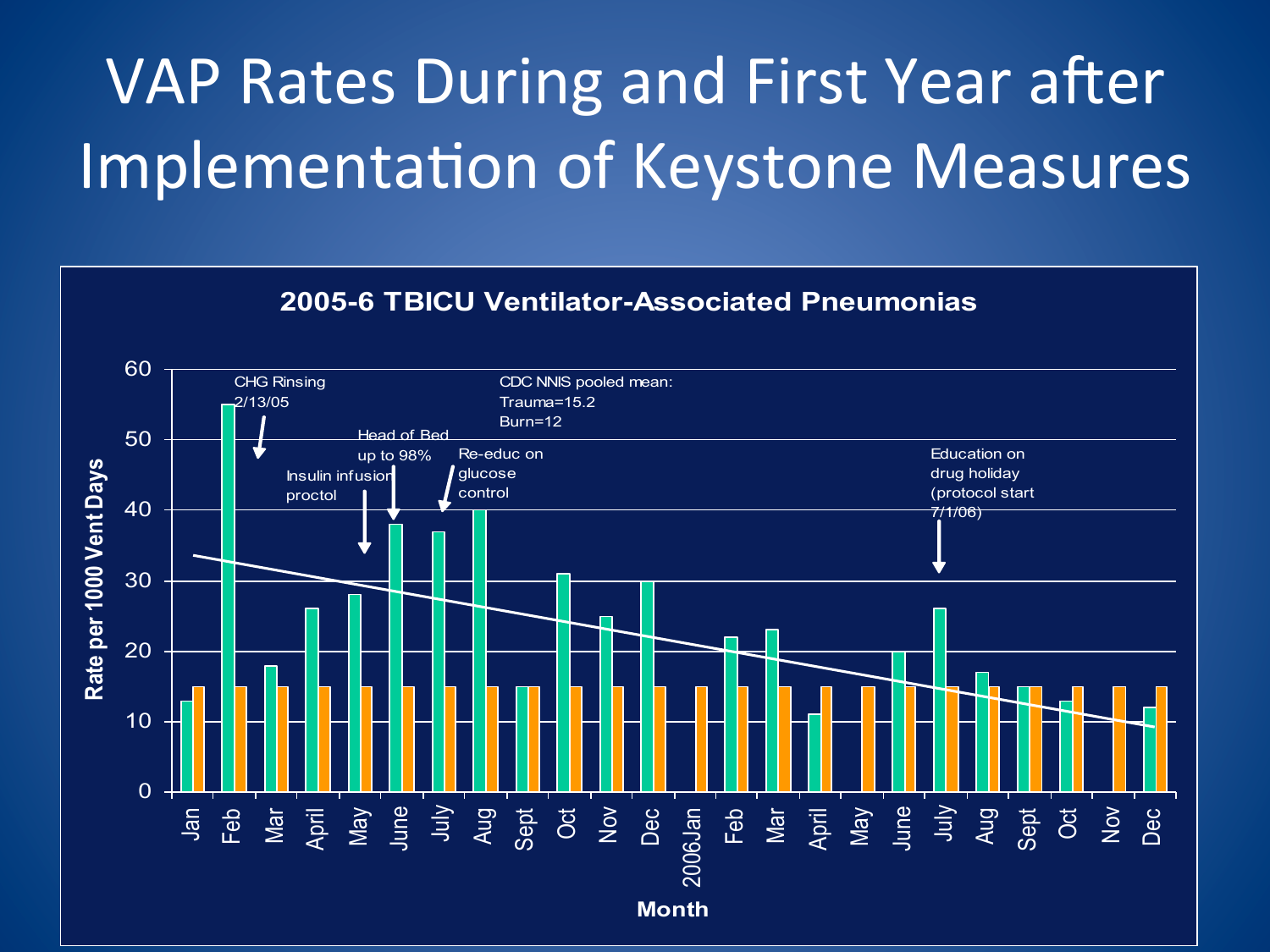# VAP Rates During and First Year after Implementation of Keystone Measures

![](_page_23_Figure_1.jpeg)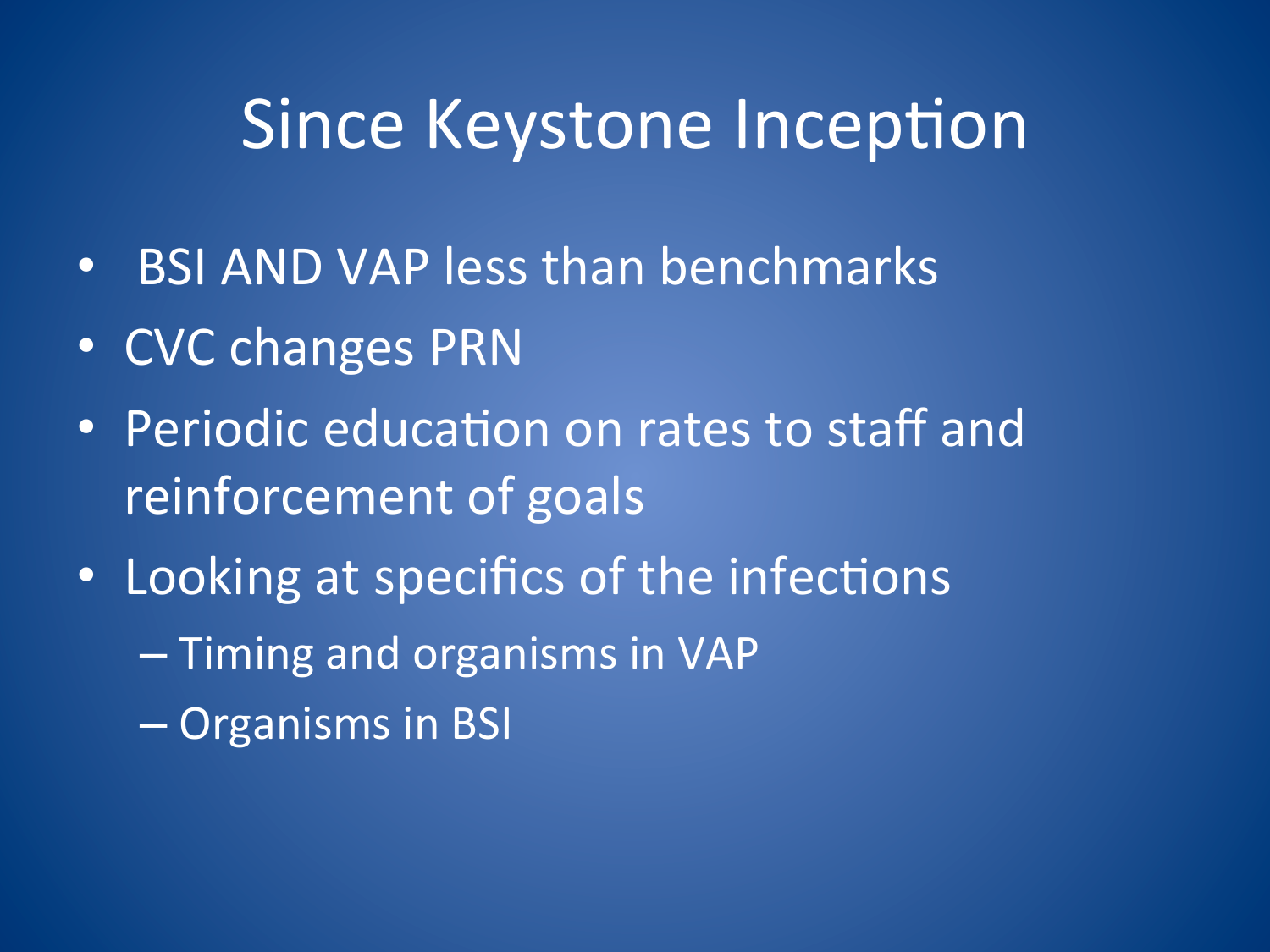## Since Keystone Inception

- BSI AND VAP less than benchmarks
- CVC changes PRN
- Periodic education on rates to staff and reinforcement of goals
- Looking at specifics of the infections
	- Timing and organisms in VAP
	- Organisms in BSI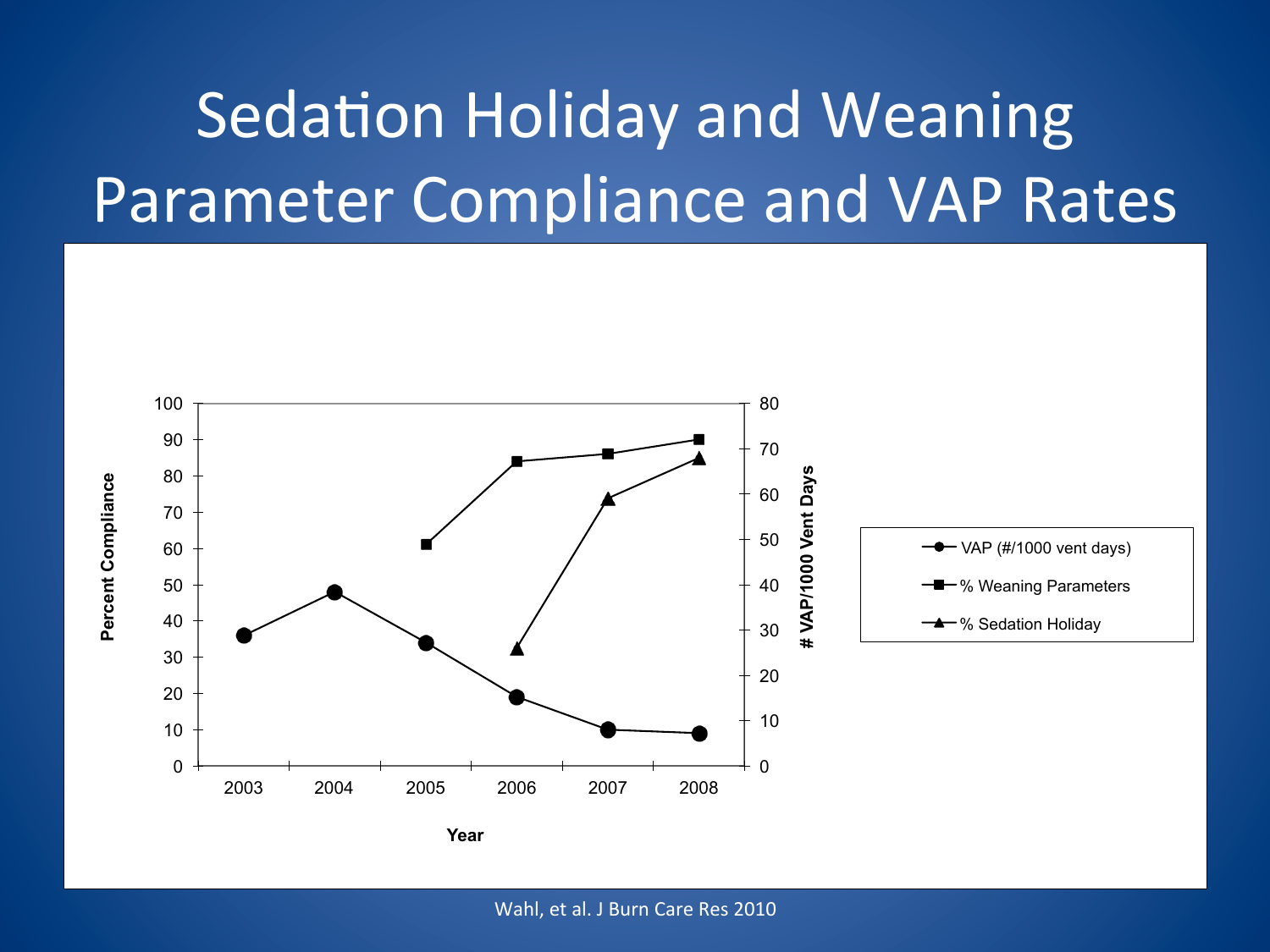# **Sedation Holiday and Weaning Parameter Compliance and VAP Rates**

![](_page_25_Figure_1.jpeg)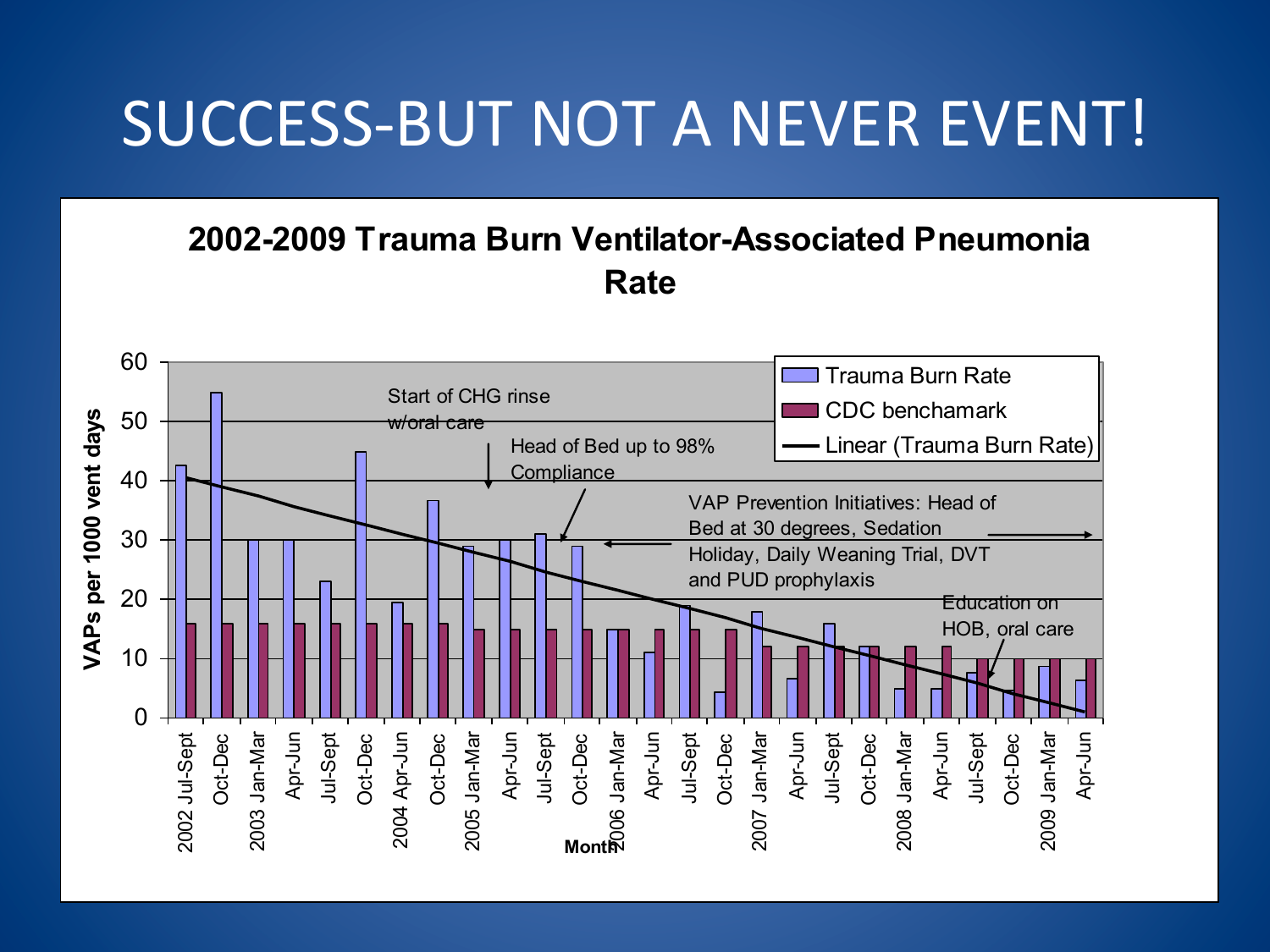#### SUCCESS-BUT NOT A NEVER EVENT!

#### **2002-2009 Trauma Burn Ventilator-Associated Pneumonia Rate**

![](_page_26_Figure_2.jpeg)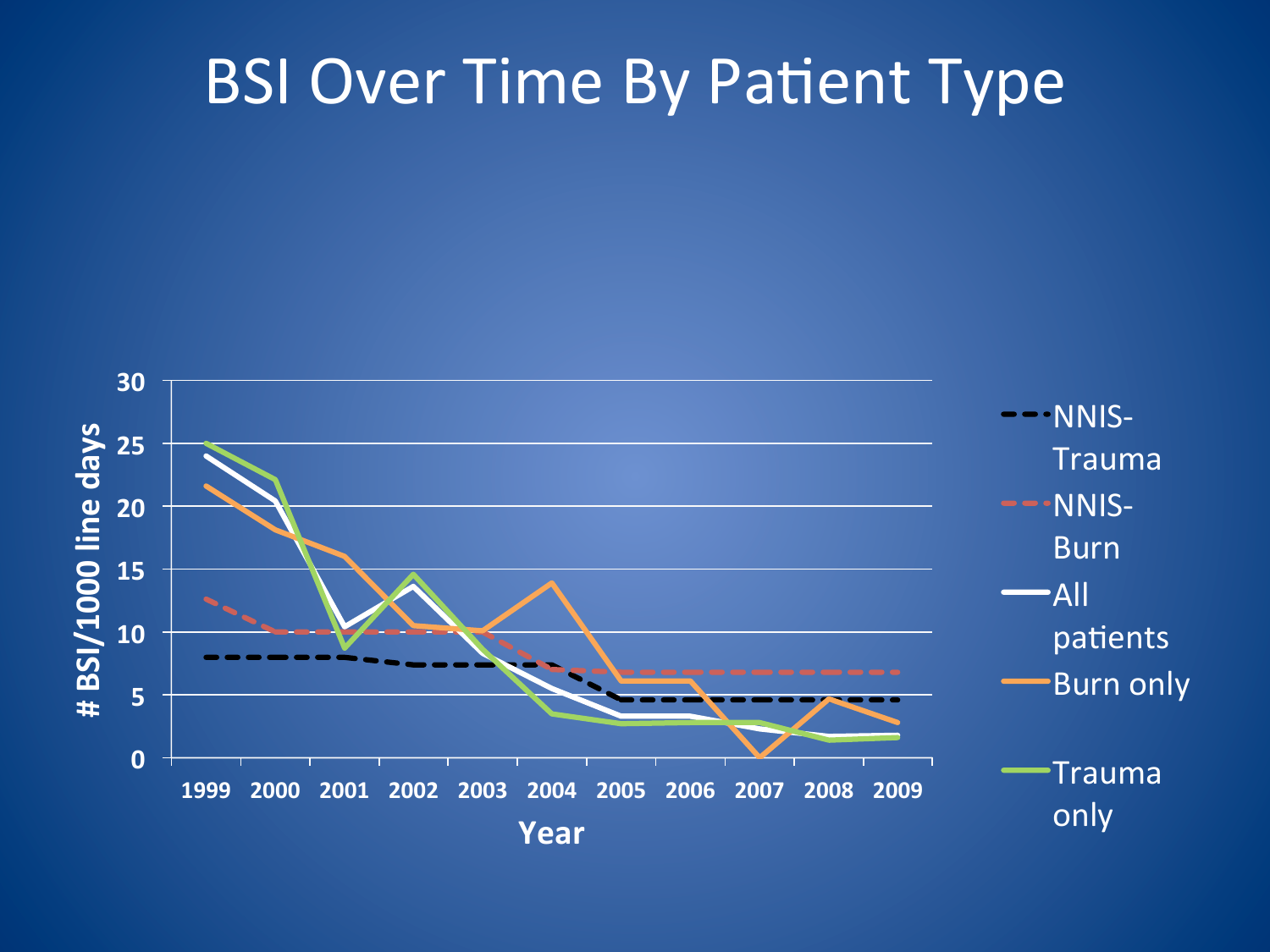#### BSI Over Time By Patient Type

![](_page_27_Figure_1.jpeg)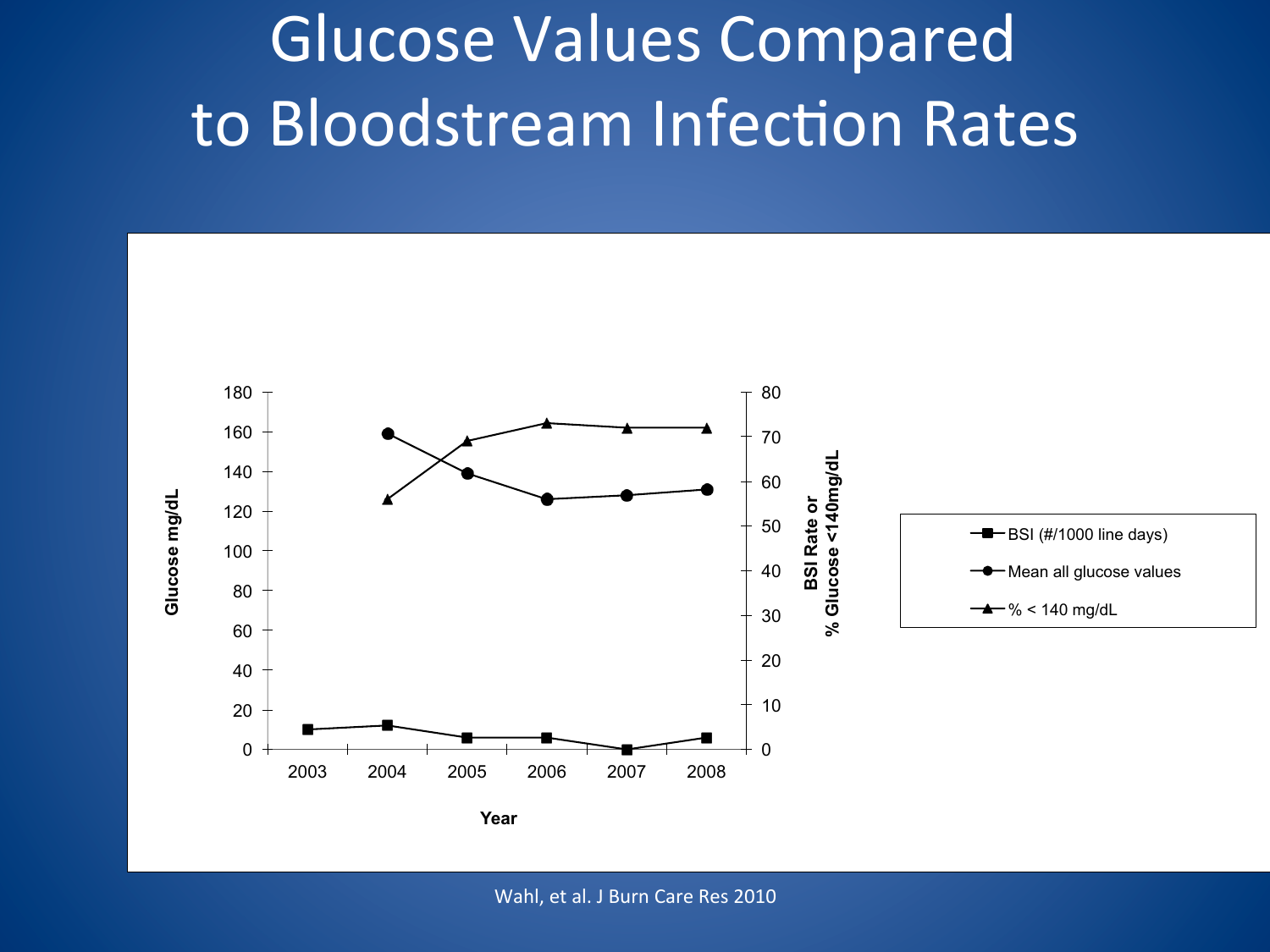# Glucose Values Compared to Bloodstream Infection Rates

![](_page_28_Figure_1.jpeg)

Wahl, et al. J Burn Care Res 2010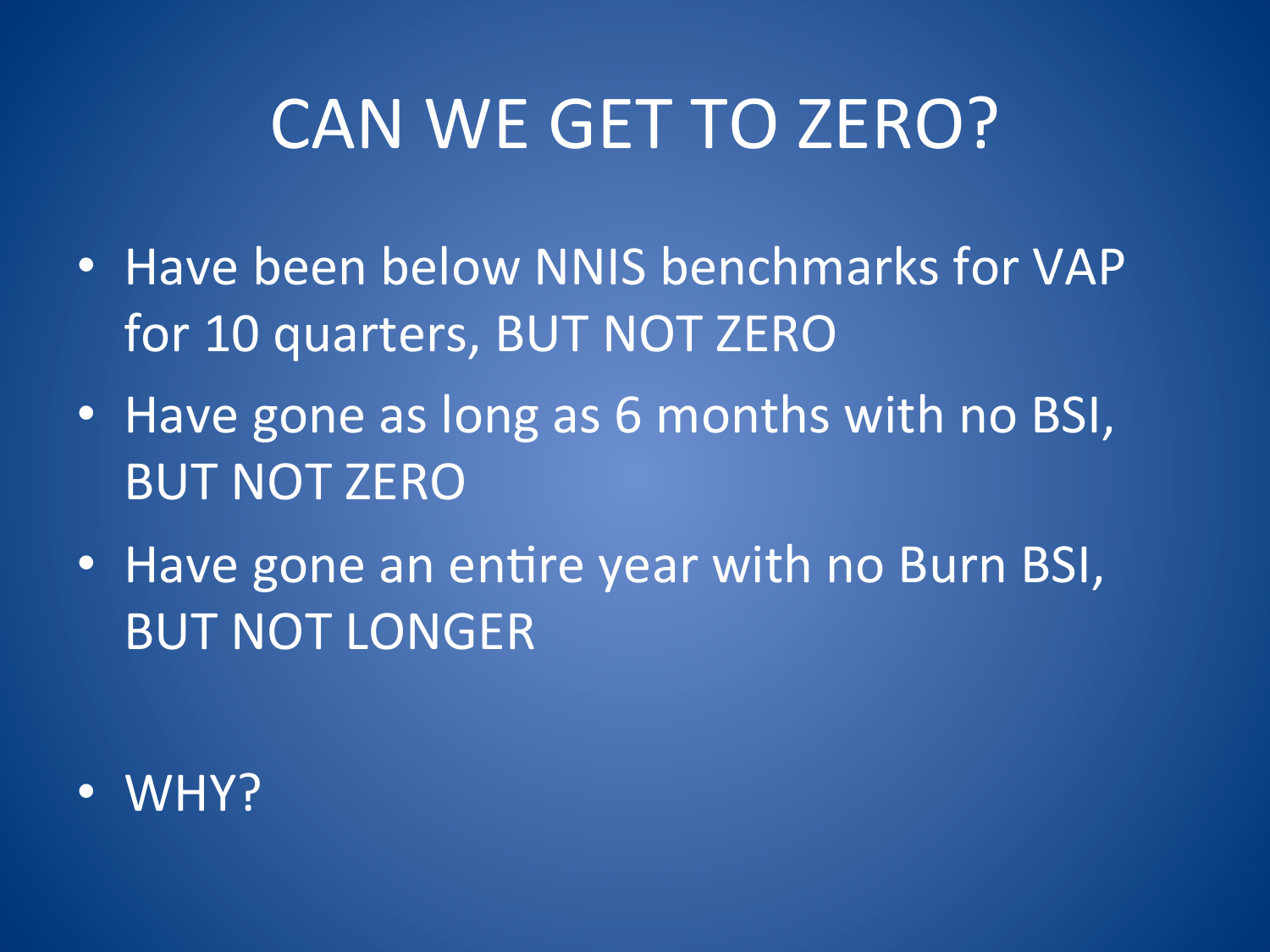# CAN WE GET TO ZERO?

- Have been below NNIS benchmarks for VAP for 10 quarters, BUT NOT ZERO
- Have gone as long as 6 months with no BSI, **BUT NOT ZERO**
- Have gone an entire year with no Burn BSI, **BUT NOT LONGER**

 $\bullet$  WHY?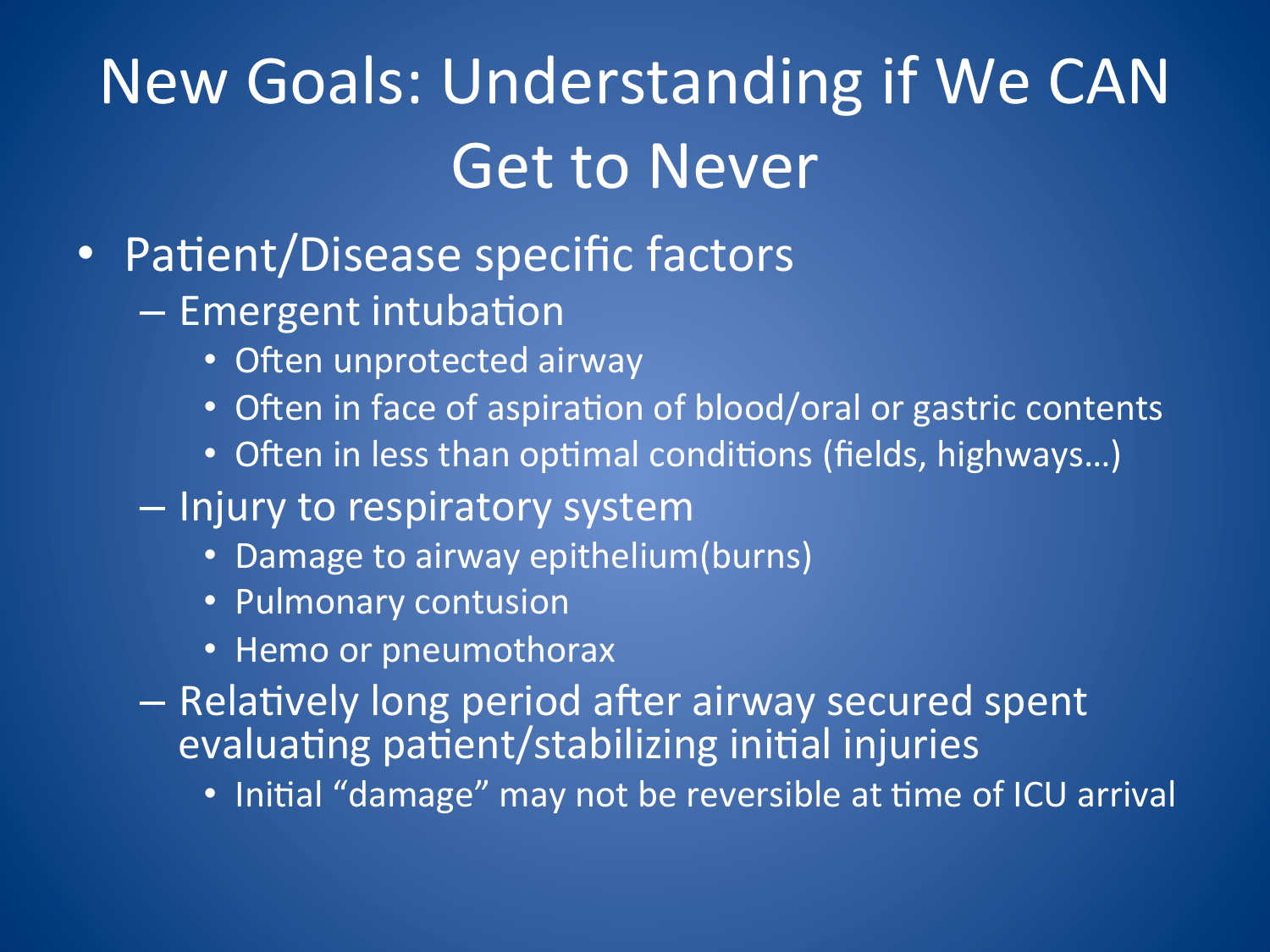# **New Goals: Understanding if We CAN Get to Never**

- Patient/Disease specific factors
	- Emergent intubation
		- Often unprotected airway
		- Often in face of aspiration of blood/oral or gastric contents
		- Often in less than optimal conditions (fields, highways...)
	- Injury to respiratory system
		- Damage to airway epithelium(burns)
		- Pulmonary contusion
		- Hemo or pneumothorax
	- Relatively long period after airway secured spent evaluating patient/stabilizing initial injuries
		- Initial "damage" may not be reversible at time of ICU arrival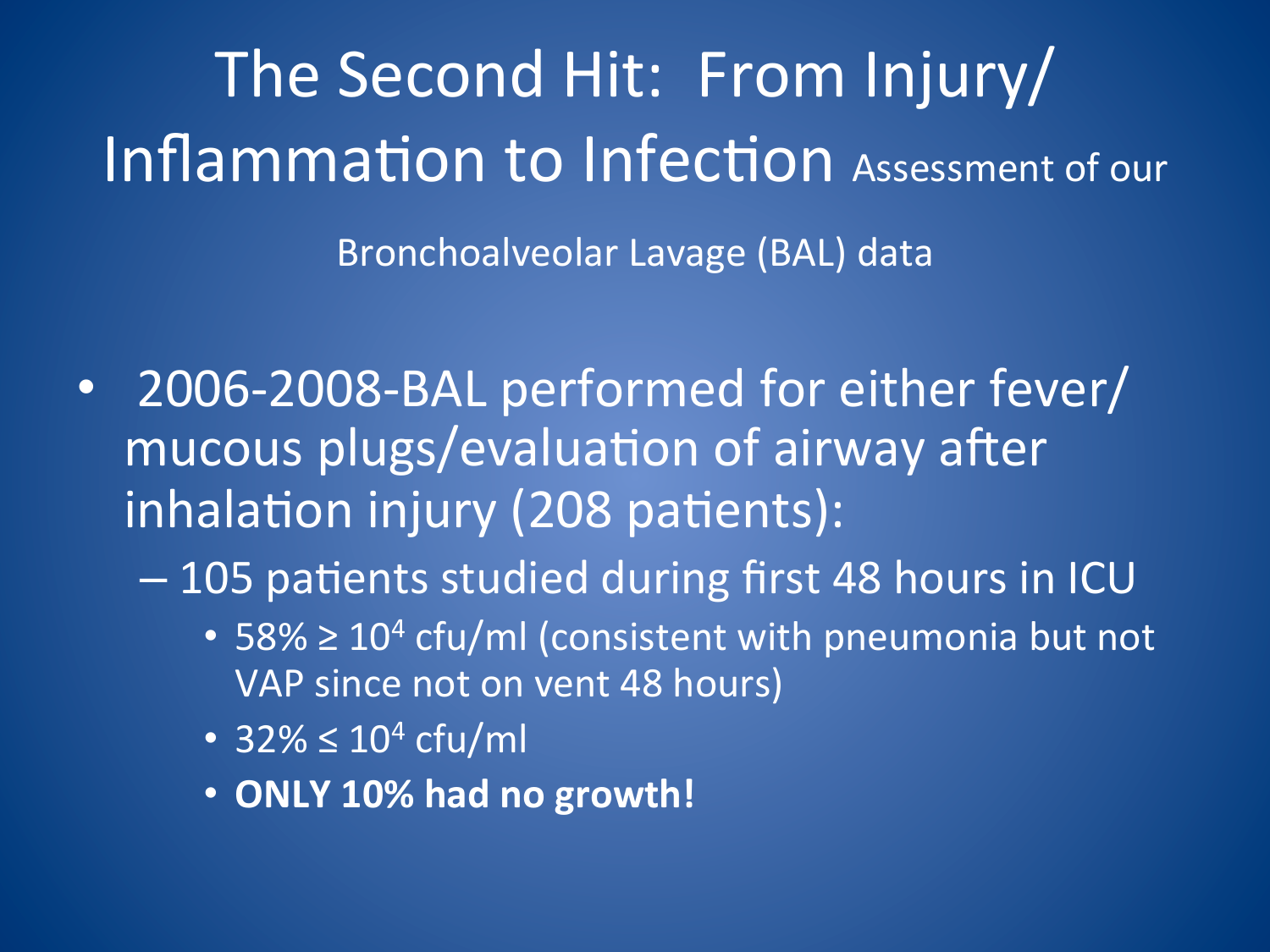The Second Hit: From Injury/ Inflammation to Infection Assessment of our

Bronchoalveolar Lavage (BAL) data

2006-2008-BAL performed for either fever/  $\bullet$ mucous plugs/evaluation of airway after inhalation injury (208 patients):

- 105 patients studied during first 48 hours in ICU

- 58%  $\geq 10^4$  cfu/ml (consistent with pneumonia but not VAP since not on vent 48 hours)
- 32%  $\leq 10^4$  cfu/ml
- . ONLY 10% had no growth!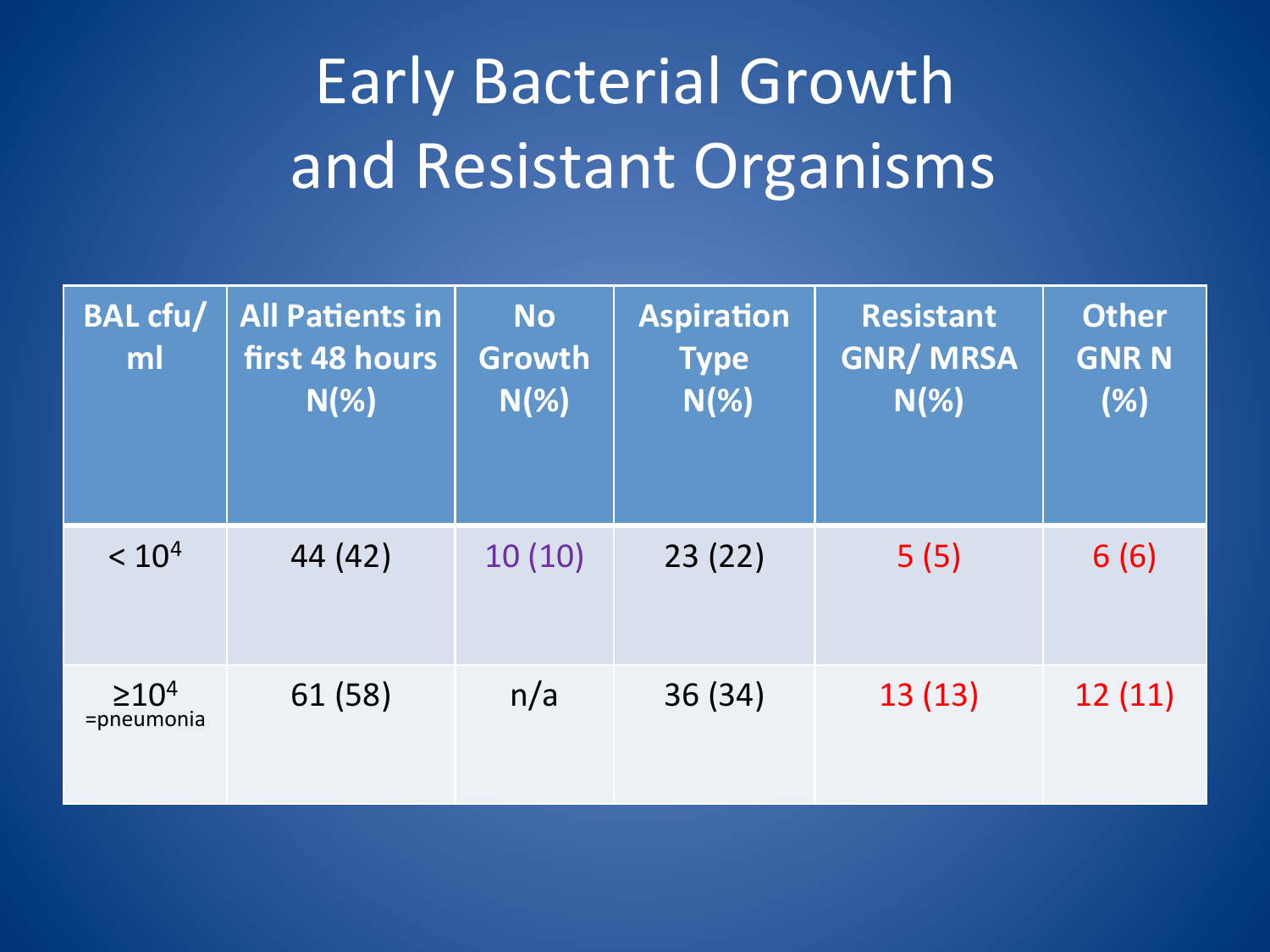# Early Bacterial Growth and Resistant Organisms

| <b>BAL cfu/</b><br>ml       | <b>All Patients in</b><br>first 48 hours<br>$N(\%)$ | <b>No</b><br><b>Growth</b><br>$N(\%)$ | <b>Aspiration</b><br><b>Type</b><br>$N(\%)$ | <b>Resistant</b><br><b>GNR/MRSA</b><br>$N(\%)$ | <b>Other</b><br><b>GNR N</b><br>(%) |
|-----------------------------|-----------------------------------------------------|---------------------------------------|---------------------------------------------|------------------------------------------------|-------------------------------------|
| < 10 <sup>4</sup>           | 44 (42)                                             | 10(10)                                | 23(22)                                      | 5(5)                                           | 6(6)                                |
| $\geq 10^{4}$<br>=pneumonia | 61 (58)                                             | n/a                                   | 36 (34)                                     | 13(13)                                         | 12(11)                              |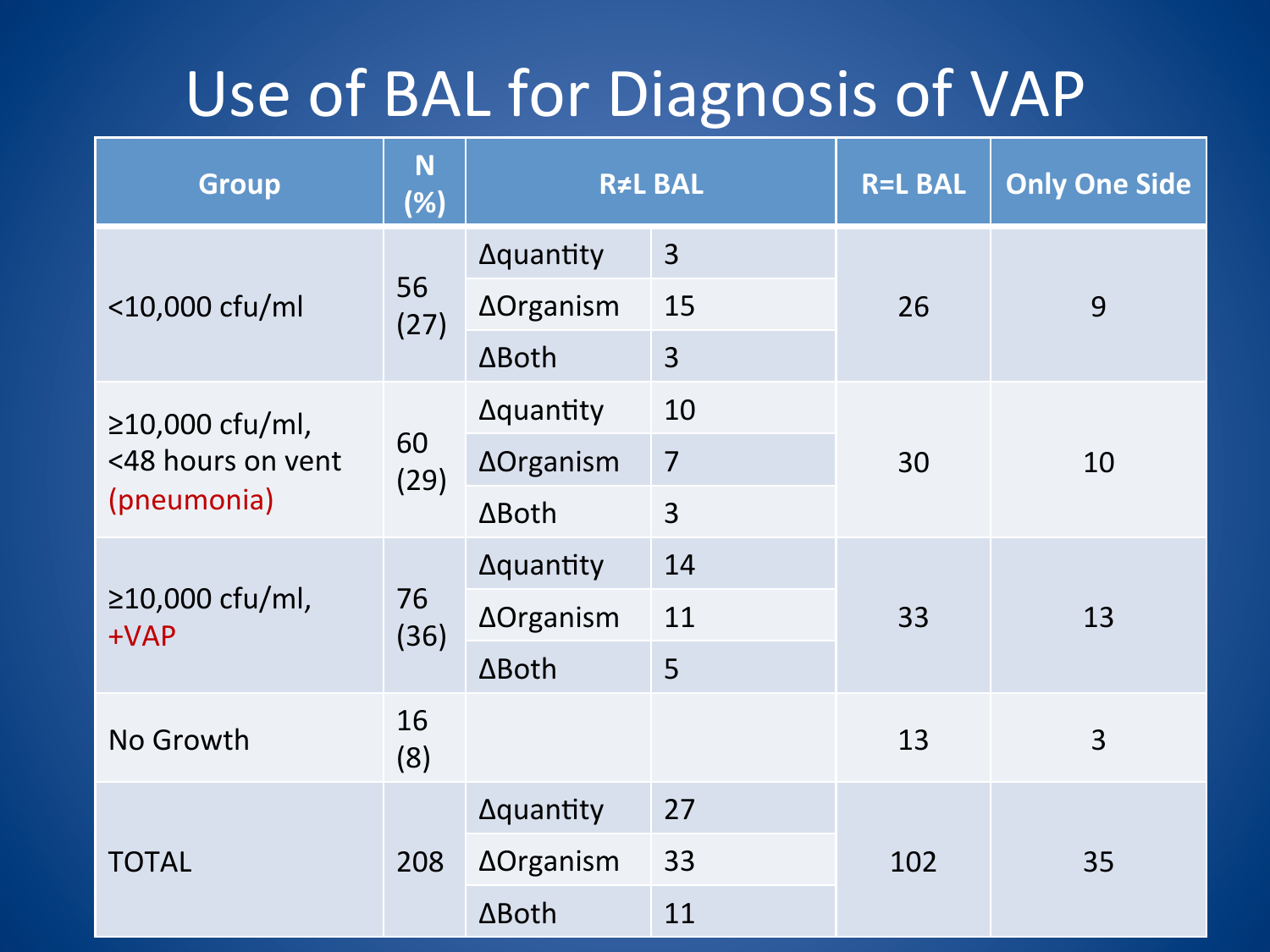## Use of BAL for Diagnosis of VAP

| <b>Group</b>              | N<br>(%)   | <b>R≠L BAL</b>   |                | <b>R=L BAL</b> | <b>Only One Side</b> |
|---------------------------|------------|------------------|----------------|----------------|----------------------|
|                           |            | <b>Aquantity</b> | $\overline{3}$ | 26             | 9                    |
| <10,000 cfu/ml            | 56<br>(27) | ∆Organism        | 15             |                |                      |
|                           |            | ∆Both            | $\overline{3}$ |                |                      |
| $≥10,000$ cfu/ml,         | 60<br>(29) | <b>Aquantity</b> | 10             | 30             | 10                   |
| <48 hours on vent         |            | ∆Organism        | $\overline{7}$ |                |                      |
| (pneumonia)               |            | $\Delta$ Both    | $\overline{3}$ |                |                      |
|                           |            | <b>Aquantity</b> | 14             | 33             | 13                   |
| ≥10,000 cfu/ml,<br>$+VAP$ | 76<br>(36) | ∆Organism        | 11             |                |                      |
|                           |            | ∆Both            | 5              |                |                      |
| No Growth                 | 16<br>(8)  |                  |                | 13             | 3                    |
|                           | 208        | <b>Aquantity</b> | 27             | 102            | 35                   |
| <b>TOTAL</b>              |            | ∆Organism        | 33             |                |                      |
|                           |            | ∆Both            | 11             |                |                      |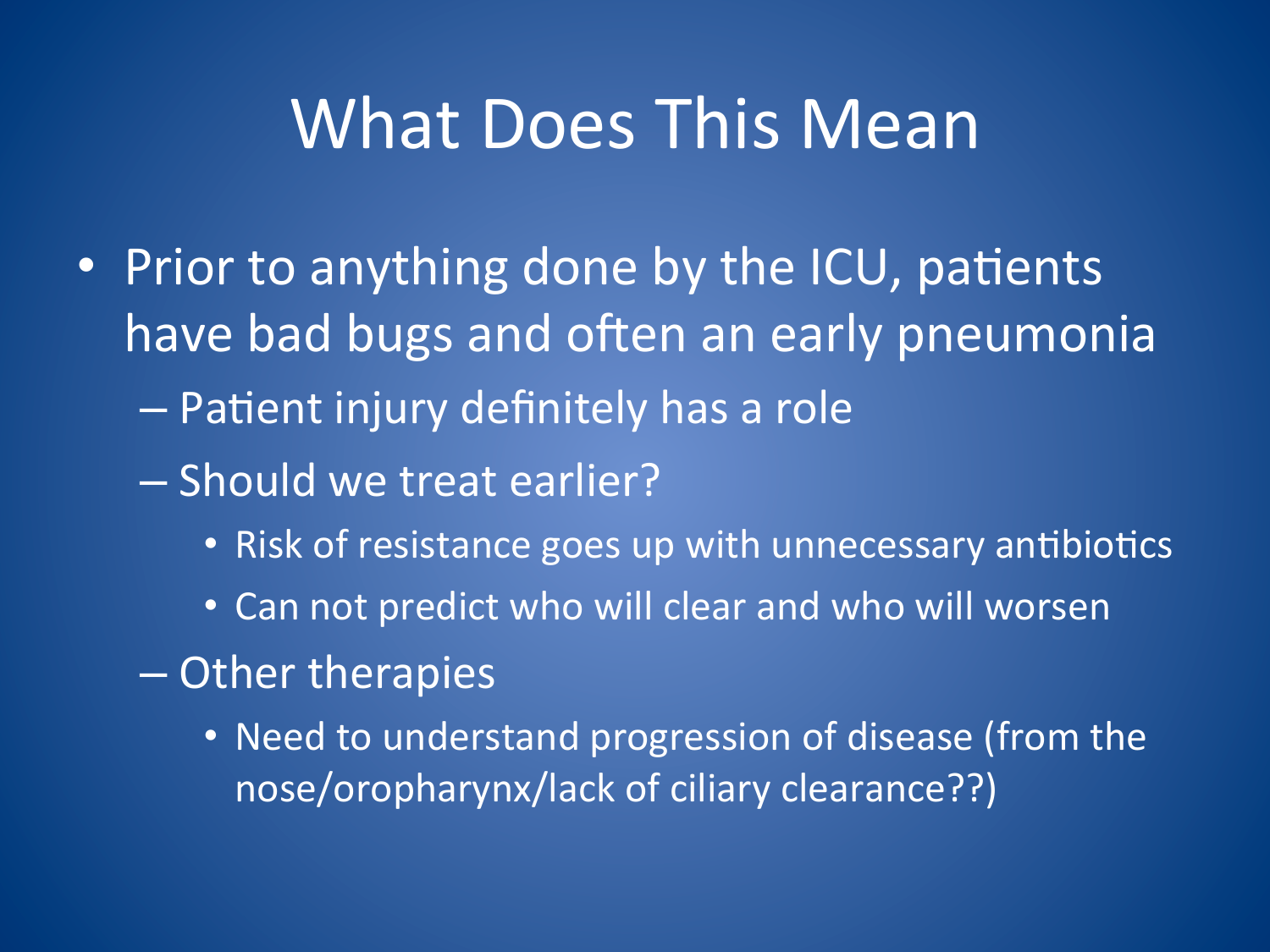## **What Does This Mean**

- Prior to anything done by the ICU, patients have bad bugs and often an early pneumonia - Patient injury definitely has a role
	- Should we treat earlier?
		- Risk of resistance goes up with unnecessary antibiotics
		- Can not predict who will clear and who will worsen
	- Other therapies
		- Need to understand progression of disease (from the nose/oropharynx/lack of ciliary clearance??)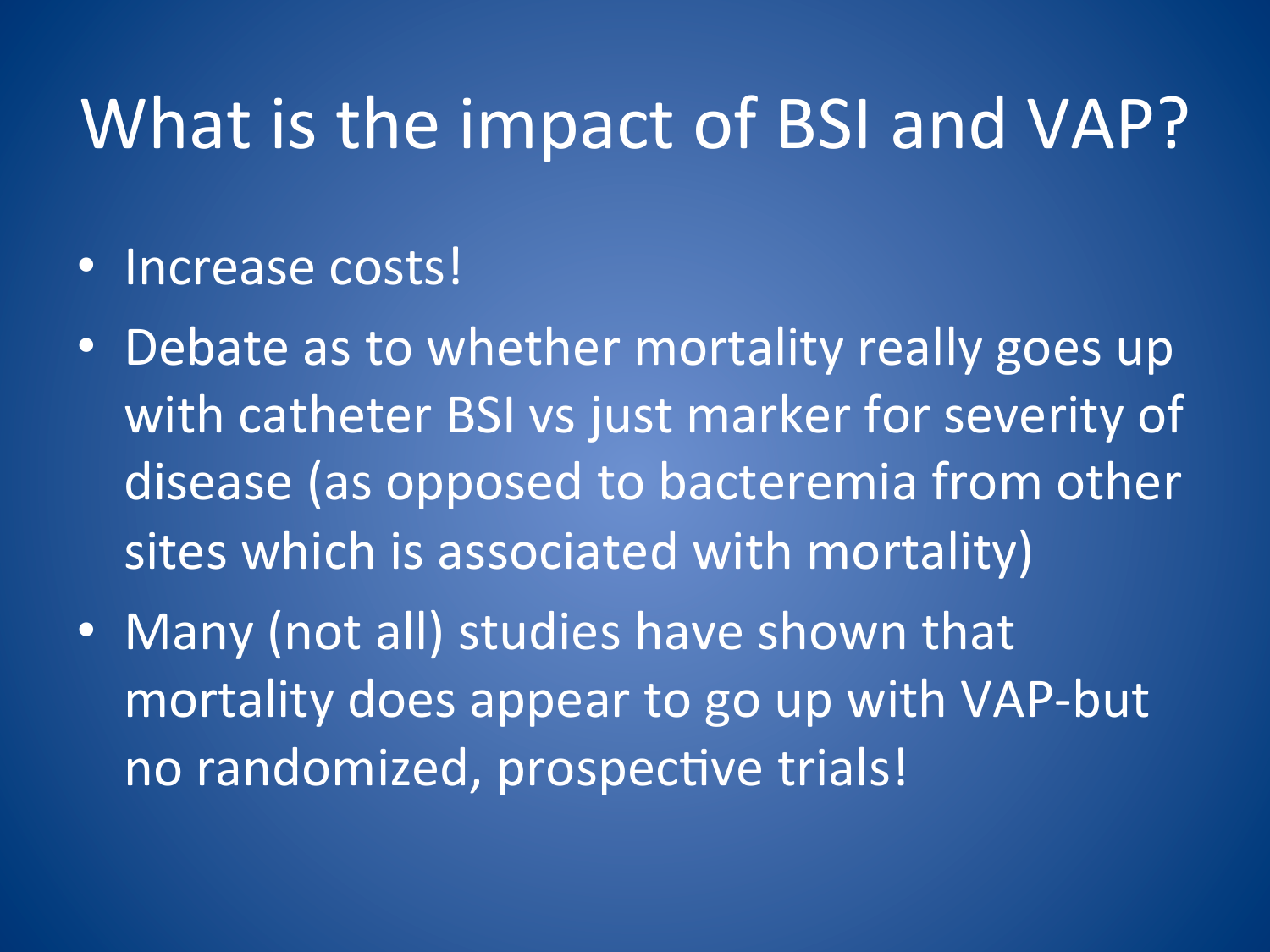# What is the impact of BSI and VAP?

- Increase costs!
- Debate as to whether mortality really goes up with catheter BSI vs just marker for severity of disease (as opposed to bacteremia from other sites which is associated with mortality)
- Many (not all) studies have shown that mortality does appear to go up with VAP-but no randomized, prospective trials!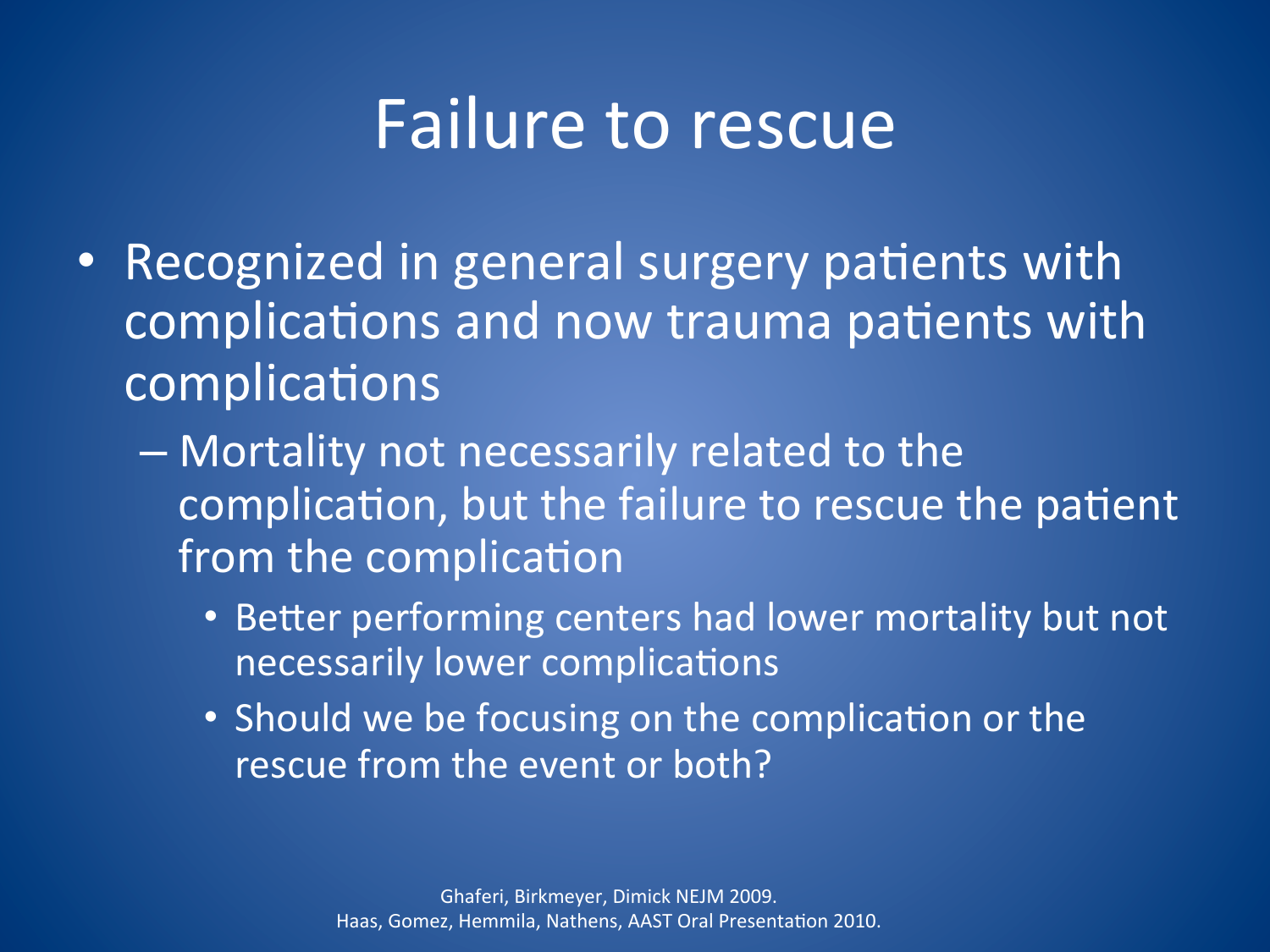## **Failure to rescue**

- Recognized in general surgery patients with complications and now trauma patients with complications
	- Mortality not necessarily related to the complication, but the failure to rescue the patient from the complication
		- Better performing centers had lower mortality but not necessarily lower complications
		- Should we be focusing on the complication or the rescue from the event or both?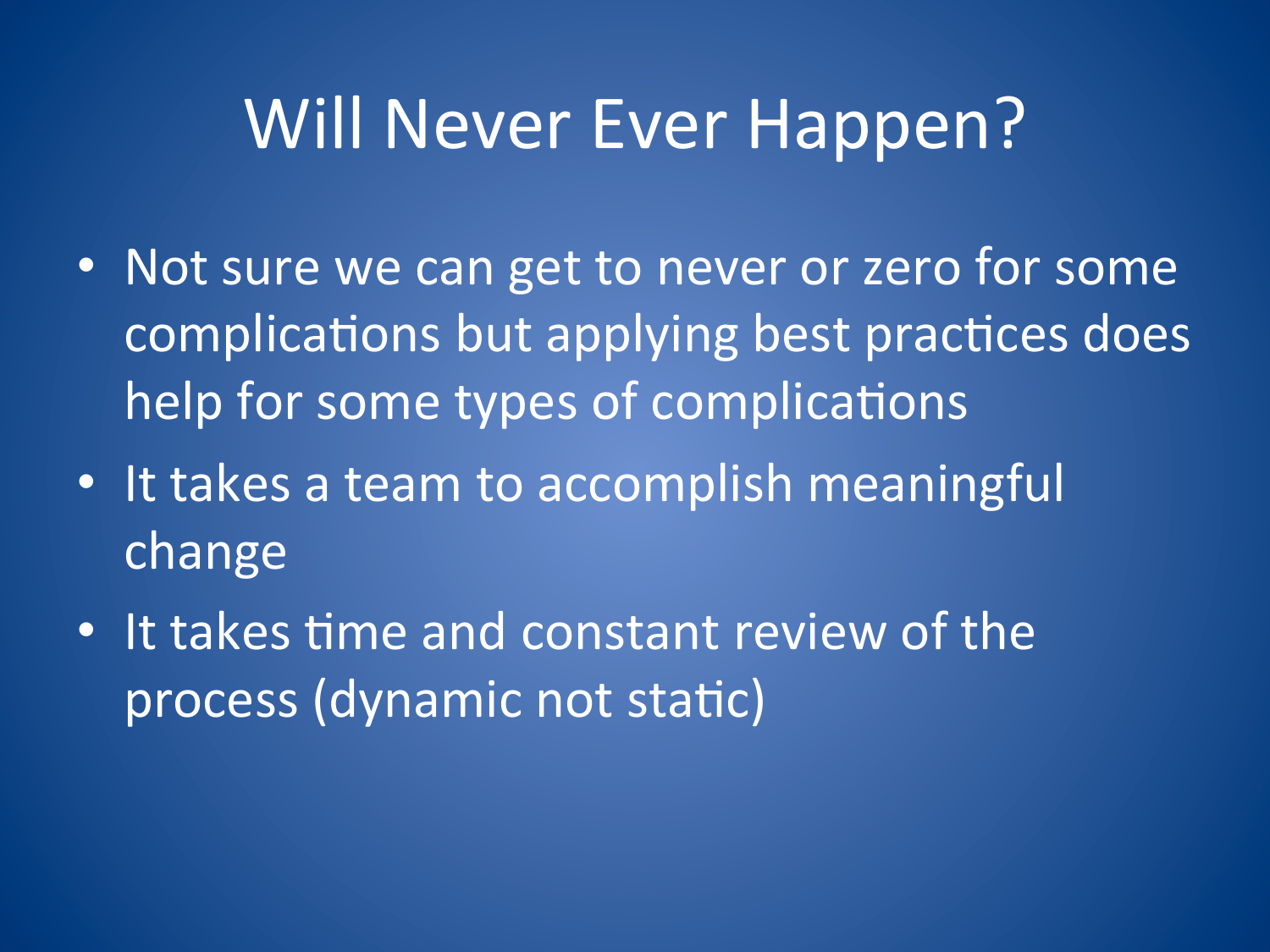# Will Never Ever Happen?

- Not sure we can get to never or zero for some complications but applying best practices does help for some types of complications
- It takes a team to accomplish meaningful change
- $\cdot$  It takes time and constant review of the process (dynamic not static)